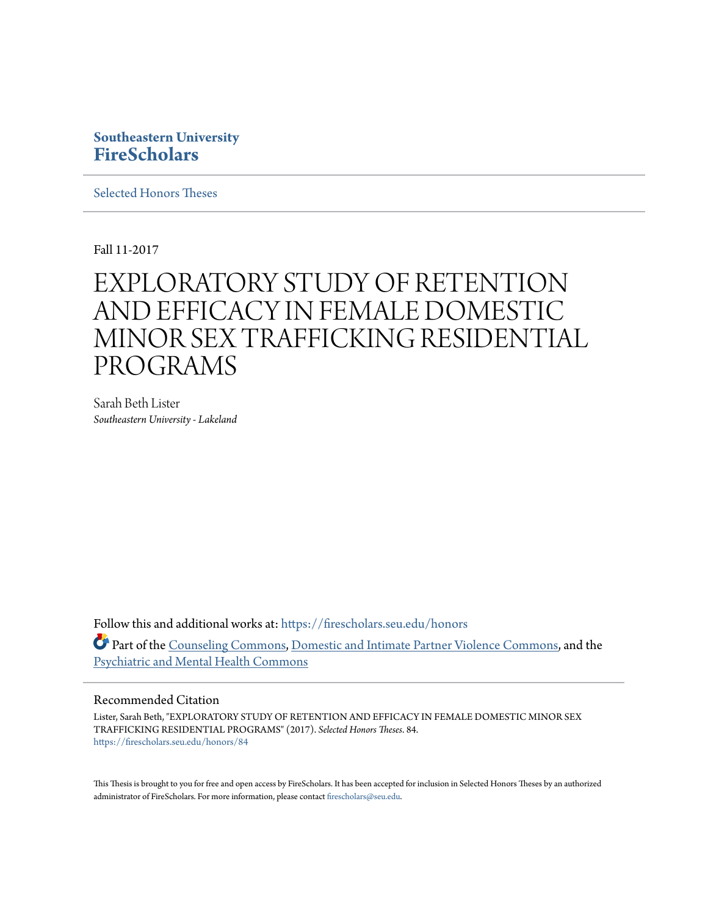## **Southeastern University [FireScholars](https://firescholars.seu.edu?utm_source=firescholars.seu.edu%2Fhonors%2F84&utm_medium=PDF&utm_campaign=PDFCoverPages)**

[Selected Honors Theses](https://firescholars.seu.edu/honors?utm_source=firescholars.seu.edu%2Fhonors%2F84&utm_medium=PDF&utm_campaign=PDFCoverPages)

Fall 11-2017

# EXPLORATORY STUDY OF RETENTION AND EFFICACY IN FEMALE DOMESTIC MINOR SEX TRAFFICKING RESIDENTIAL PROGRAMS

Sarah Beth Lister *Southeastern University - Lakeland*

Follow this and additional works at: [https://firescholars.seu.edu/honors](https://firescholars.seu.edu/honors?utm_source=firescholars.seu.edu%2Fhonors%2F84&utm_medium=PDF&utm_campaign=PDFCoverPages) Part of the [Counseling Commons](http://network.bepress.com/hgg/discipline/1268?utm_source=firescholars.seu.edu%2Fhonors%2F84&utm_medium=PDF&utm_campaign=PDFCoverPages), [Domestic and Intimate Partner Violence Commons,](http://network.bepress.com/hgg/discipline/1309?utm_source=firescholars.seu.edu%2Fhonors%2F84&utm_medium=PDF&utm_campaign=PDFCoverPages) and the [Psychiatric and Mental Health Commons](http://network.bepress.com/hgg/discipline/711?utm_source=firescholars.seu.edu%2Fhonors%2F84&utm_medium=PDF&utm_campaign=PDFCoverPages)

#### Recommended Citation

Lister, Sarah Beth, "EXPLORATORY STUDY OF RETENTION AND EFFICACY IN FEMALE DOMESTIC MINOR SEX TRAFFICKING RESIDENTIAL PROGRAMS" (2017). *Selected Honors Theses*. 84. [https://firescholars.seu.edu/honors/84](https://firescholars.seu.edu/honors/84?utm_source=firescholars.seu.edu%2Fhonors%2F84&utm_medium=PDF&utm_campaign=PDFCoverPages)

This Thesis is brought to you for free and open access by FireScholars. It has been accepted for inclusion in Selected Honors Theses by an authorized administrator of FireScholars. For more information, please contact [firescholars@seu.edu](mailto:firescholars@seu.edu).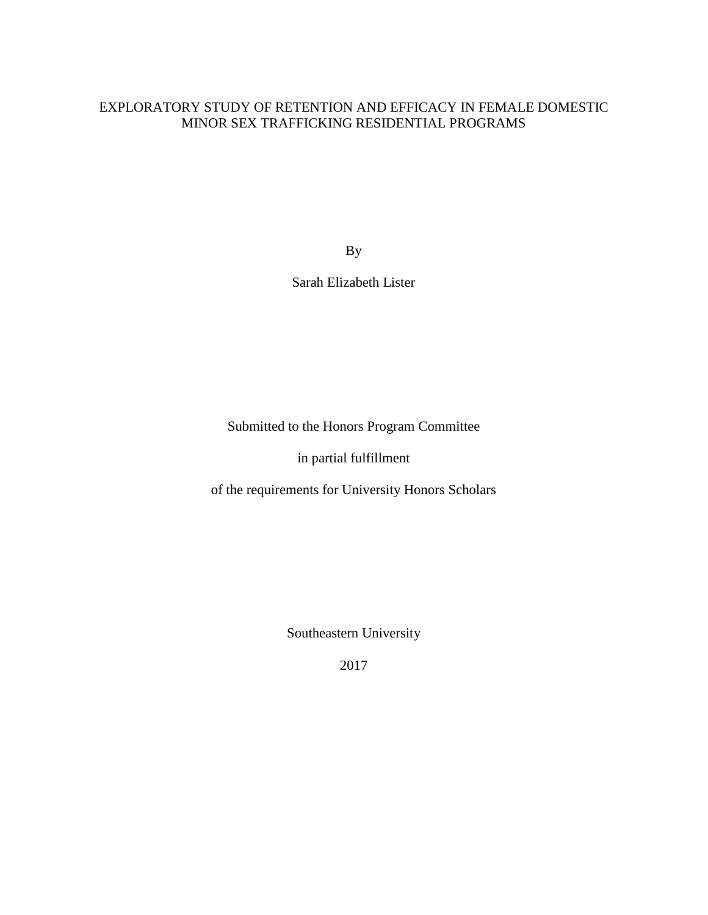### EXPLORATORY STUDY OF RETENTION AND EFFICACY IN FEMALE DOMESTIC MINOR SEX TRAFFICKING RESIDENTIAL PROGRAMS

By

Sarah Elizabeth Lister

Submitted to the Honors Program Committee

in partial fulfillment

of the requirements for University Honors Scholars

Southeastern University

2017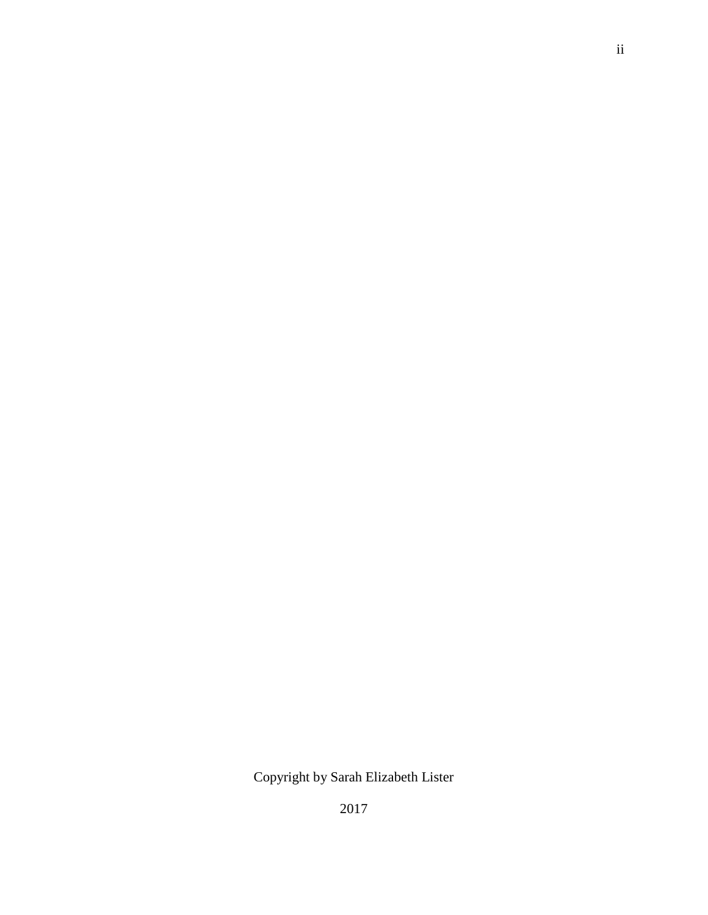## Copyright by Sarah Elizabeth Lister

2017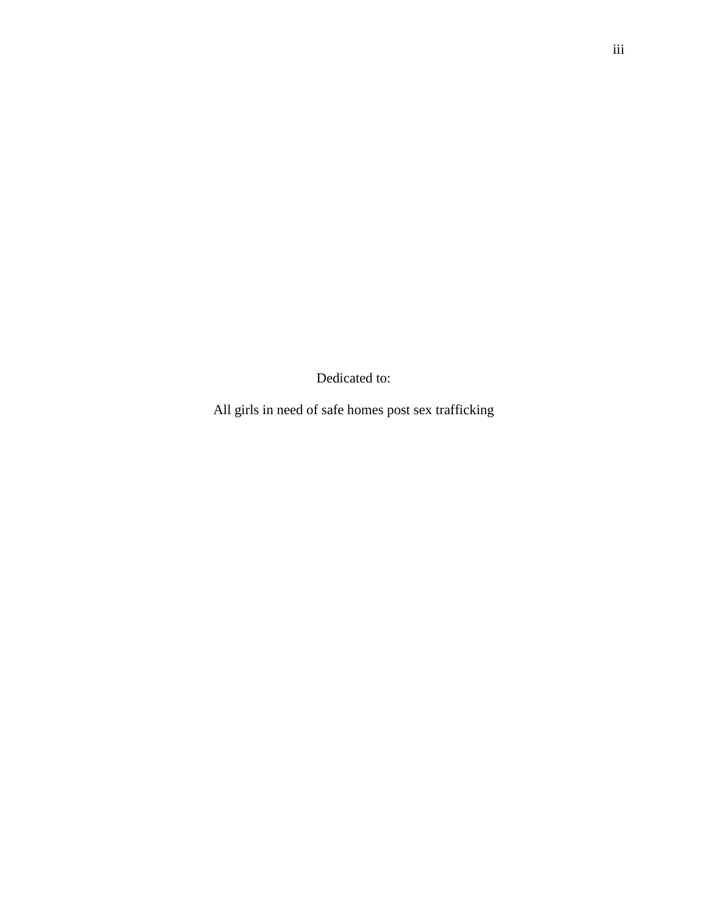Dedicated to:

All girls in need of safe homes post sex trafficking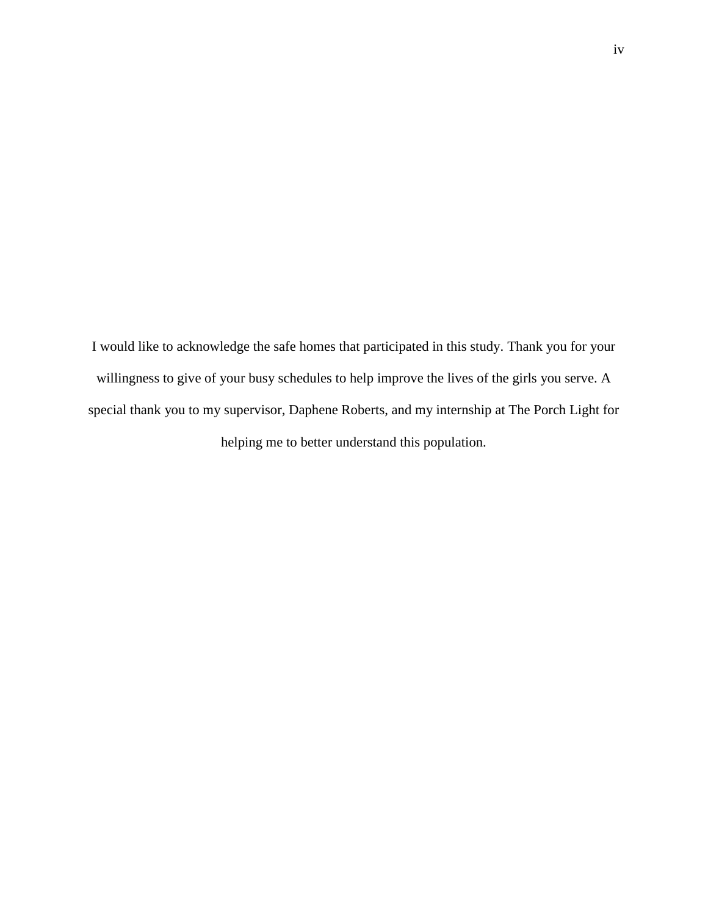I would like to acknowledge the safe homes that participated in this study. Thank you for your willingness to give of your busy schedules to help improve the lives of the girls you serve. A special thank you to my supervisor, Daphene Roberts, and my internship at The Porch Light for helping me to better understand this population.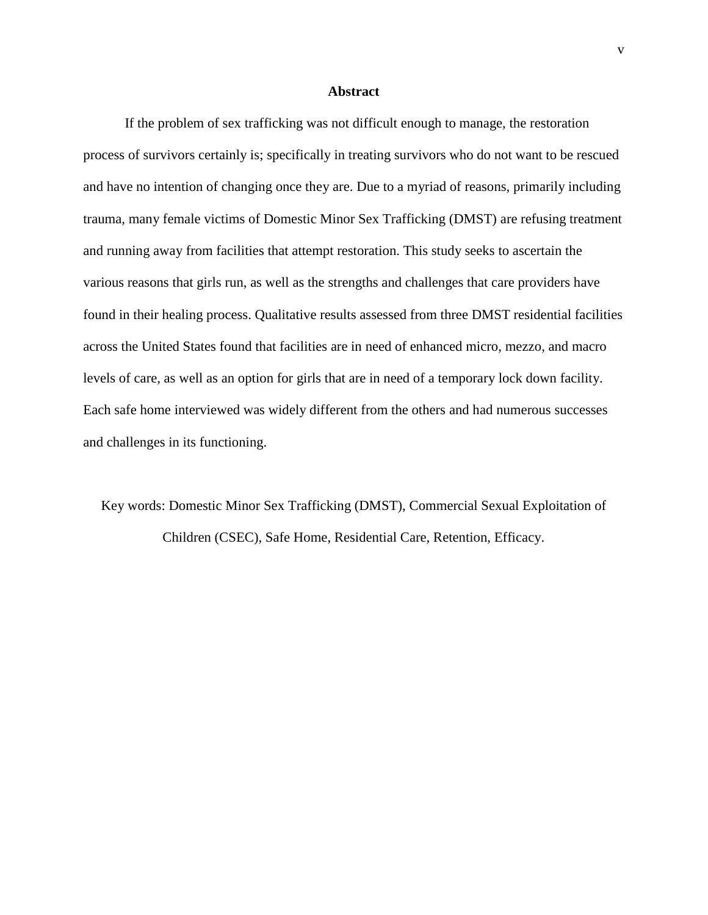#### **Abstract**

If the problem of sex trafficking was not difficult enough to manage, the restoration process of survivors certainly is; specifically in treating survivors who do not want to be rescued and have no intention of changing once they are. Due to a myriad of reasons, primarily including trauma, many female victims of Domestic Minor Sex Trafficking (DMST) are refusing treatment and running away from facilities that attempt restoration. This study seeks to ascertain the various reasons that girls run, as well as the strengths and challenges that care providers have found in their healing process. Qualitative results assessed from three DMST residential facilities across the United States found that facilities are in need of enhanced micro, mezzo, and macro levels of care, as well as an option for girls that are in need of a temporary lock down facility. Each safe home interviewed was widely different from the others and had numerous successes and challenges in its functioning.

Key words: Domestic Minor Sex Trafficking (DMST), Commercial Sexual Exploitation of Children (CSEC), Safe Home, Residential Care, Retention, Efficacy.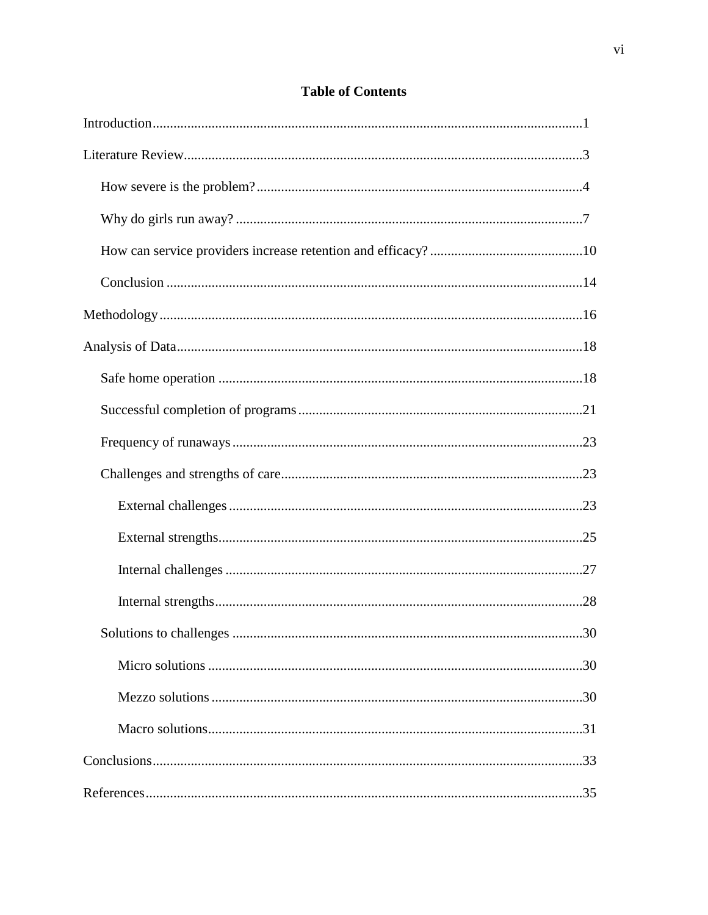### **Table of Contents**

| 30 |
|----|
|    |
|    |
|    |
|    |
|    |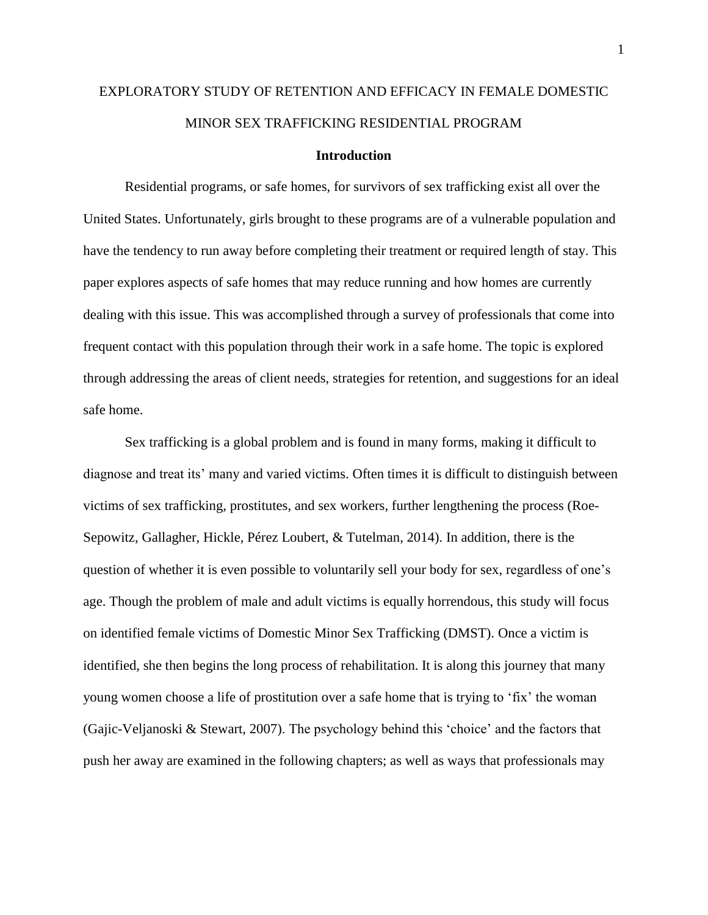## EXPLORATORY STUDY OF RETENTION AND EFFICACY IN FEMALE DOMESTIC MINOR SEX TRAFFICKING RESIDENTIAL PROGRAM

#### **Introduction**

Residential programs, or safe homes, for survivors of sex trafficking exist all over the United States. Unfortunately, girls brought to these programs are of a vulnerable population and have the tendency to run away before completing their treatment or required length of stay. This paper explores aspects of safe homes that may reduce running and how homes are currently dealing with this issue. This was accomplished through a survey of professionals that come into frequent contact with this population through their work in a safe home. The topic is explored through addressing the areas of client needs, strategies for retention, and suggestions for an ideal safe home.

Sex trafficking is a global problem and is found in many forms, making it difficult to diagnose and treat its' many and varied victims. Often times it is difficult to distinguish between victims of sex trafficking, prostitutes, and sex workers, further lengthening the process (Roe-Sepowitz, Gallagher, Hickle, Pérez Loubert, & Tutelman, 2014). In addition, there is the question of whether it is even possible to voluntarily sell your body for sex, regardless of one's age. Though the problem of male and adult victims is equally horrendous, this study will focus on identified female victims of Domestic Minor Sex Trafficking (DMST). Once a victim is identified, she then begins the long process of rehabilitation. It is along this journey that many young women choose a life of prostitution over a safe home that is trying to 'fix' the woman (Gajic-Veljanoski & Stewart, 2007). The psychology behind this 'choice' and the factors that push her away are examined in the following chapters; as well as ways that professionals may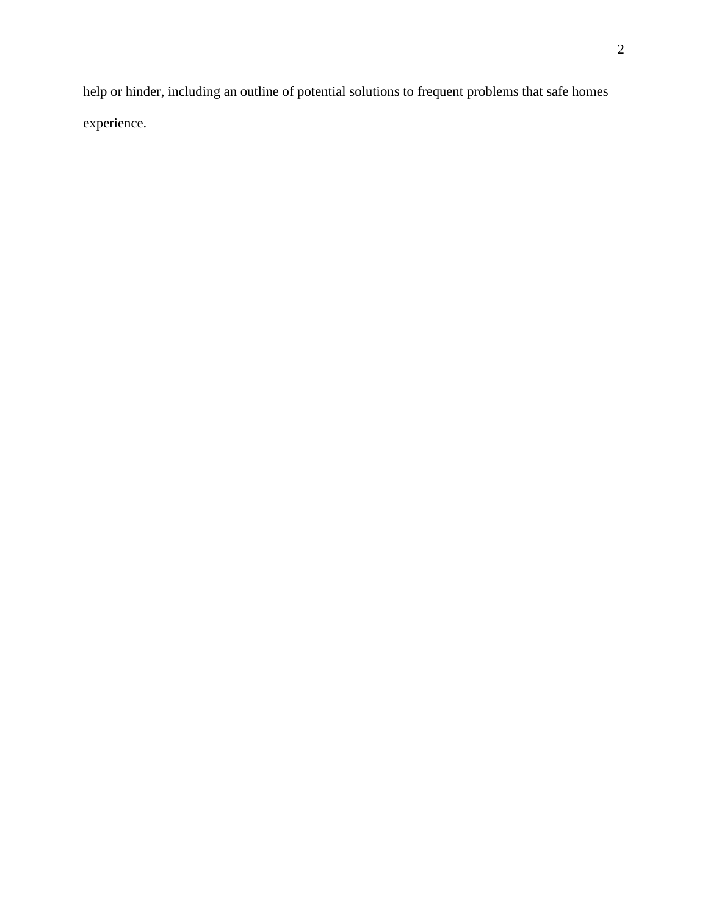help or hinder, including an outline of potential solutions to frequent problems that safe homes experience.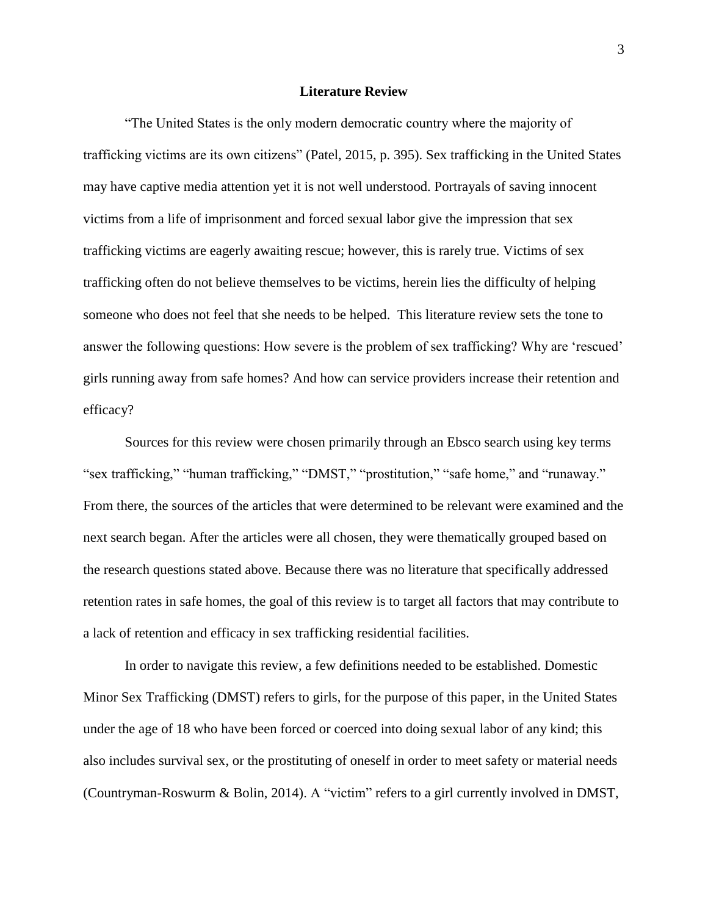#### **Literature Review**

"The United States is the only modern democratic country where the majority of trafficking victims are its own citizens" (Patel, 2015, p. 395). Sex trafficking in the United States may have captive media attention yet it is not well understood. Portrayals of saving innocent victims from a life of imprisonment and forced sexual labor give the impression that sex trafficking victims are eagerly awaiting rescue; however, this is rarely true. Victims of sex trafficking often do not believe themselves to be victims, herein lies the difficulty of helping someone who does not feel that she needs to be helped. This literature review sets the tone to answer the following questions: How severe is the problem of sex trafficking? Why are 'rescued' girls running away from safe homes? And how can service providers increase their retention and efficacy?

Sources for this review were chosen primarily through an Ebsco search using key terms "sex trafficking," "human trafficking," "DMST," "prostitution," "safe home," and "runaway." From there, the sources of the articles that were determined to be relevant were examined and the next search began. After the articles were all chosen, they were thematically grouped based on the research questions stated above. Because there was no literature that specifically addressed retention rates in safe homes, the goal of this review is to target all factors that may contribute to a lack of retention and efficacy in sex trafficking residential facilities.

In order to navigate this review, a few definitions needed to be established. Domestic Minor Sex Trafficking (DMST) refers to girls, for the purpose of this paper, in the United States under the age of 18 who have been forced or coerced into doing sexual labor of any kind; this also includes survival sex, or the prostituting of oneself in order to meet safety or material needs (Countryman-Roswurm & Bolin, 2014). A "victim" refers to a girl currently involved in DMST,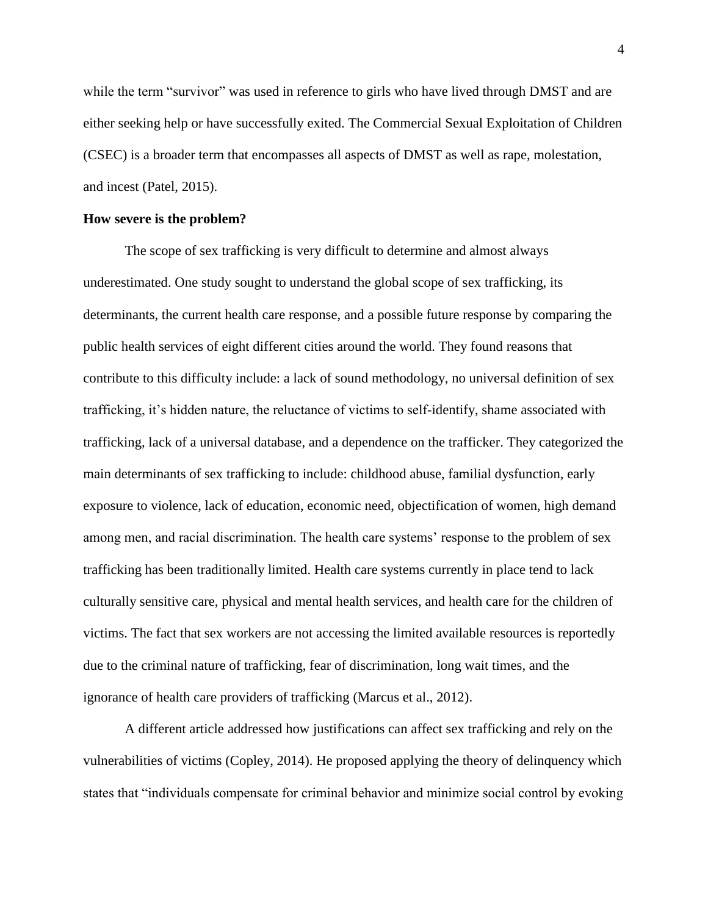while the term "survivor" was used in reference to girls who have lived through DMST and are either seeking help or have successfully exited. The Commercial Sexual Exploitation of Children (CSEC) is a broader term that encompasses all aspects of DMST as well as rape, molestation, and incest (Patel, 2015).

#### **How severe is the problem?**

The scope of sex trafficking is very difficult to determine and almost always underestimated. One study sought to understand the global scope of sex trafficking, its determinants, the current health care response, and a possible future response by comparing the public health services of eight different cities around the world. They found reasons that contribute to this difficulty include: a lack of sound methodology, no universal definition of sex trafficking, it's hidden nature, the reluctance of victims to self-identify, shame associated with trafficking, lack of a universal database, and a dependence on the trafficker. They categorized the main determinants of sex trafficking to include: childhood abuse, familial dysfunction, early exposure to violence, lack of education, economic need, objectification of women, high demand among men, and racial discrimination. The health care systems' response to the problem of sex trafficking has been traditionally limited. Health care systems currently in place tend to lack culturally sensitive care, physical and mental health services, and health care for the children of victims. The fact that sex workers are not accessing the limited available resources is reportedly due to the criminal nature of trafficking, fear of discrimination, long wait times, and the ignorance of health care providers of trafficking (Marcus et al., 2012).

A different article addressed how justifications can affect sex trafficking and rely on the vulnerabilities of victims (Copley, 2014). He proposed applying the theory of delinquency which states that "individuals compensate for criminal behavior and minimize social control by evoking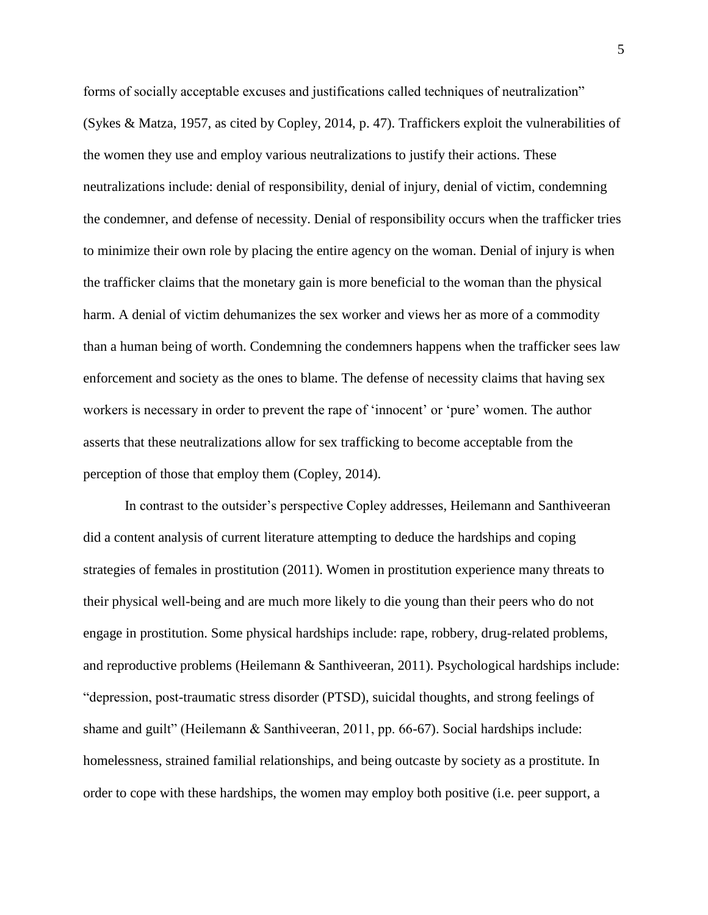forms of socially acceptable excuses and justifications called techniques of neutralization" (Sykes & Matza, 1957, as cited by Copley, 2014, p. 47). Traffickers exploit the vulnerabilities of the women they use and employ various neutralizations to justify their actions. These neutralizations include: denial of responsibility, denial of injury, denial of victim, condemning the condemner, and defense of necessity. Denial of responsibility occurs when the trafficker tries to minimize their own role by placing the entire agency on the woman. Denial of injury is when the trafficker claims that the monetary gain is more beneficial to the woman than the physical harm. A denial of victim dehumanizes the sex worker and views her as more of a commodity than a human being of worth. Condemning the condemners happens when the trafficker sees law enforcement and society as the ones to blame. The defense of necessity claims that having sex workers is necessary in order to prevent the rape of 'innocent' or 'pure' women. The author asserts that these neutralizations allow for sex trafficking to become acceptable from the perception of those that employ them (Copley, 2014).

In contrast to the outsider's perspective Copley addresses, Heilemann and Santhiveeran did a content analysis of current literature attempting to deduce the hardships and coping strategies of females in prostitution (2011). Women in prostitution experience many threats to their physical well-being and are much more likely to die young than their peers who do not engage in prostitution. Some physical hardships include: rape, robbery, drug-related problems, and reproductive problems (Heilemann & Santhiveeran, 2011). Psychological hardships include: "depression, post-traumatic stress disorder (PTSD), suicidal thoughts, and strong feelings of shame and guilt" (Heilemann & Santhiveeran, 2011, pp. 66-67). Social hardships include: homelessness, strained familial relationships, and being outcaste by society as a prostitute. In order to cope with these hardships, the women may employ both positive (i.e. peer support, a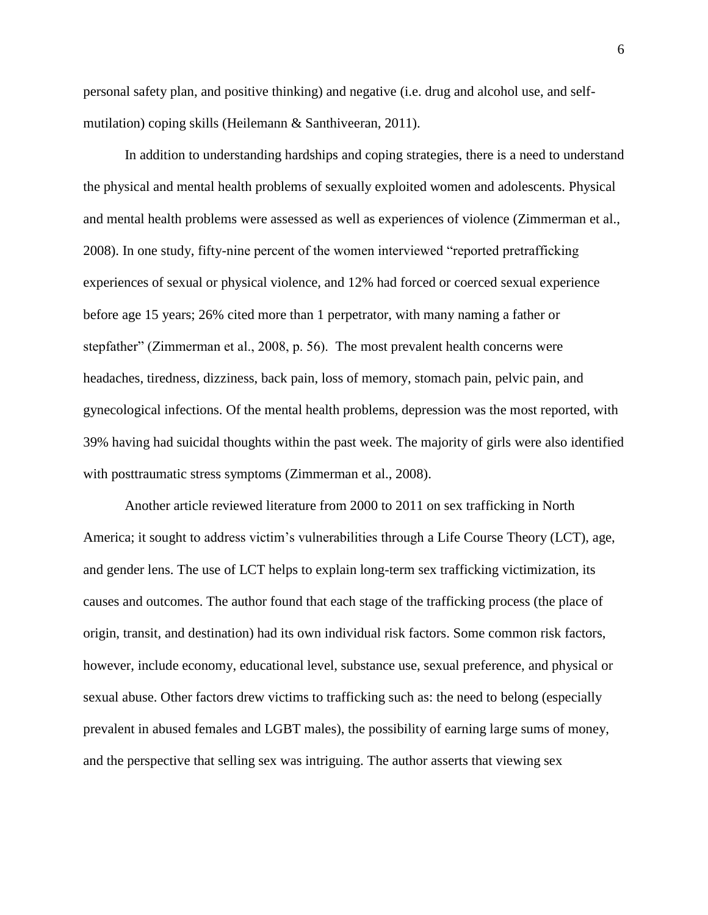personal safety plan, and positive thinking) and negative (i.e. drug and alcohol use, and selfmutilation) coping skills (Heilemann & Santhiveeran, 2011).

In addition to understanding hardships and coping strategies, there is a need to understand the physical and mental health problems of sexually exploited women and adolescents. Physical and mental health problems were assessed as well as experiences of violence (Zimmerman et al., 2008). In one study, fifty-nine percent of the women interviewed "reported pretrafficking experiences of sexual or physical violence, and 12% had forced or coerced sexual experience before age 15 years; 26% cited more than 1 perpetrator, with many naming a father or stepfather" (Zimmerman et al., 2008, p. 56). The most prevalent health concerns were headaches, tiredness, dizziness, back pain, loss of memory, stomach pain, pelvic pain, and gynecological infections. Of the mental health problems, depression was the most reported, with 39% having had suicidal thoughts within the past week. The majority of girls were also identified with posttraumatic stress symptoms (Zimmerman et al., 2008).

Another article reviewed literature from 2000 to 2011 on sex trafficking in North America; it sought to address victim's vulnerabilities through a Life Course Theory (LCT), age, and gender lens. The use of LCT helps to explain long-term sex trafficking victimization, its causes and outcomes. The author found that each stage of the trafficking process (the place of origin, transit, and destination) had its own individual risk factors. Some common risk factors, however, include economy, educational level, substance use, sexual preference, and physical or sexual abuse. Other factors drew victims to trafficking such as: the need to belong (especially prevalent in abused females and LGBT males), the possibility of earning large sums of money, and the perspective that selling sex was intriguing. The author asserts that viewing sex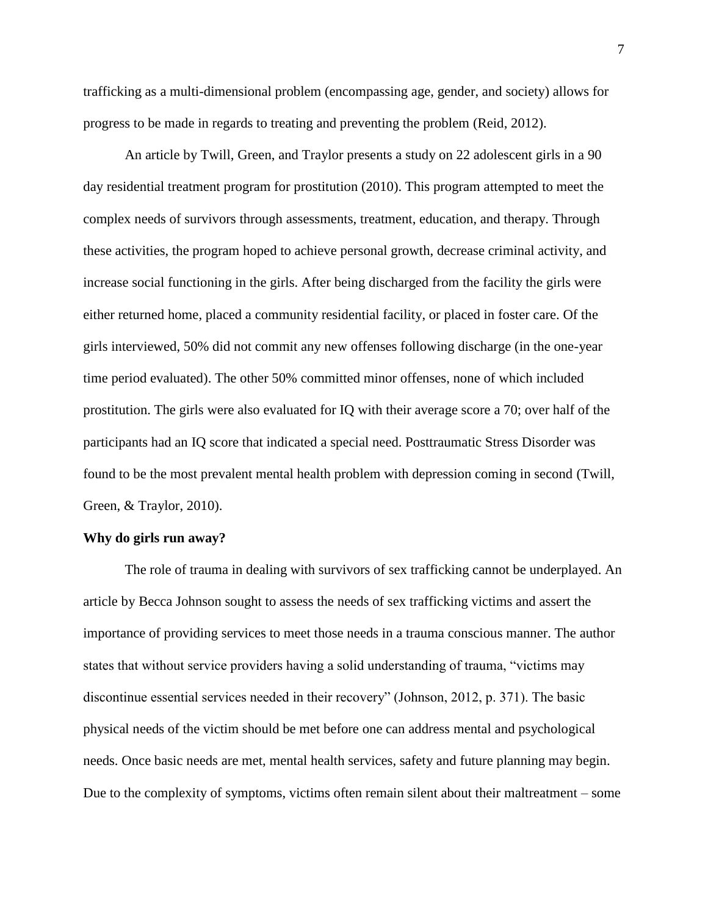trafficking as a multi-dimensional problem (encompassing age, gender, and society) allows for progress to be made in regards to treating and preventing the problem (Reid, 2012).

An article by Twill, Green, and Traylor presents a study on 22 adolescent girls in a 90 day residential treatment program for prostitution (2010). This program attempted to meet the complex needs of survivors through assessments, treatment, education, and therapy. Through these activities, the program hoped to achieve personal growth, decrease criminal activity, and increase social functioning in the girls. After being discharged from the facility the girls were either returned home, placed a community residential facility, or placed in foster care. Of the girls interviewed, 50% did not commit any new offenses following discharge (in the one-year time period evaluated). The other 50% committed minor offenses, none of which included prostitution. The girls were also evaluated for IQ with their average score a 70; over half of the participants had an IQ score that indicated a special need. Posttraumatic Stress Disorder was found to be the most prevalent mental health problem with depression coming in second (Twill, Green, & Traylor, 2010).

#### **Why do girls run away?**

The role of trauma in dealing with survivors of sex trafficking cannot be underplayed. An article by Becca Johnson sought to assess the needs of sex trafficking victims and assert the importance of providing services to meet those needs in a trauma conscious manner. The author states that without service providers having a solid understanding of trauma, "victims may discontinue essential services needed in their recovery" (Johnson, 2012, p. 371). The basic physical needs of the victim should be met before one can address mental and psychological needs. Once basic needs are met, mental health services, safety and future planning may begin. Due to the complexity of symptoms, victims often remain silent about their maltreatment – some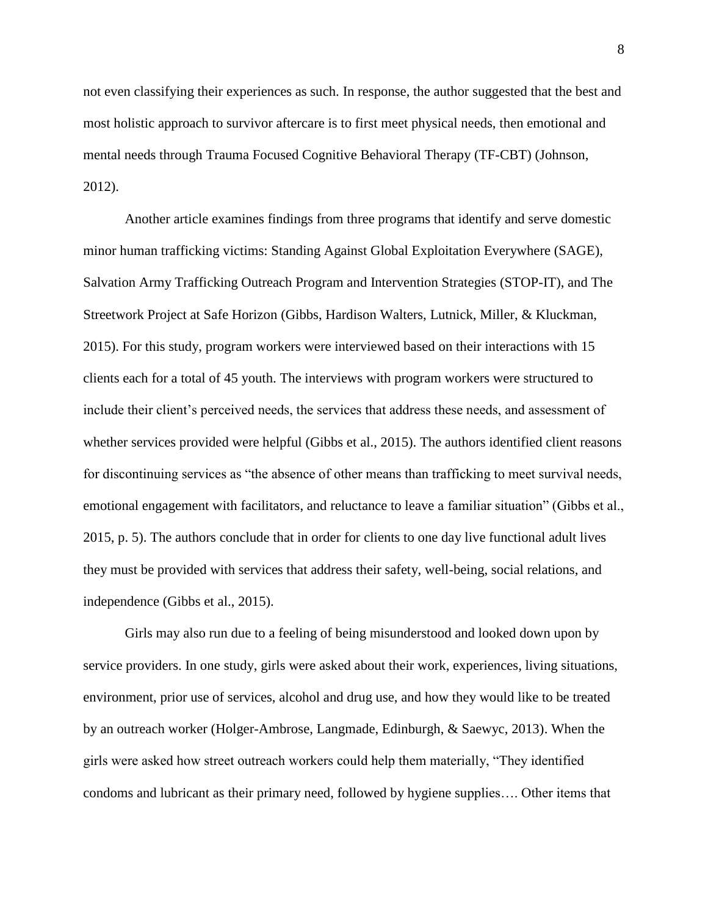not even classifying their experiences as such. In response, the author suggested that the best and most holistic approach to survivor aftercare is to first meet physical needs, then emotional and mental needs through Trauma Focused Cognitive Behavioral Therapy (TF-CBT) (Johnson, 2012).

Another article examines findings from three programs that identify and serve domestic minor human trafficking victims: Standing Against Global Exploitation Everywhere (SAGE), Salvation Army Trafficking Outreach Program and Intervention Strategies (STOP-IT), and The Streetwork Project at Safe Horizon (Gibbs, Hardison Walters, Lutnick, Miller, & Kluckman, 2015). For this study, program workers were interviewed based on their interactions with 15 clients each for a total of 45 youth. The interviews with program workers were structured to include their client's perceived needs, the services that address these needs, and assessment of whether services provided were helpful (Gibbs et al., 2015). The authors identified client reasons for discontinuing services as "the absence of other means than trafficking to meet survival needs, emotional engagement with facilitators, and reluctance to leave a familiar situation" (Gibbs et al., 2015, p. 5). The authors conclude that in order for clients to one day live functional adult lives they must be provided with services that address their safety, well-being, social relations, and independence (Gibbs et al., 2015).

Girls may also run due to a feeling of being misunderstood and looked down upon by service providers. In one study, girls were asked about their work, experiences, living situations, environment, prior use of services, alcohol and drug use, and how they would like to be treated by an outreach worker (Holger-Ambrose, Langmade, Edinburgh, & Saewyc, 2013). When the girls were asked how street outreach workers could help them materially, "They identified condoms and lubricant as their primary need, followed by hygiene supplies…. Other items that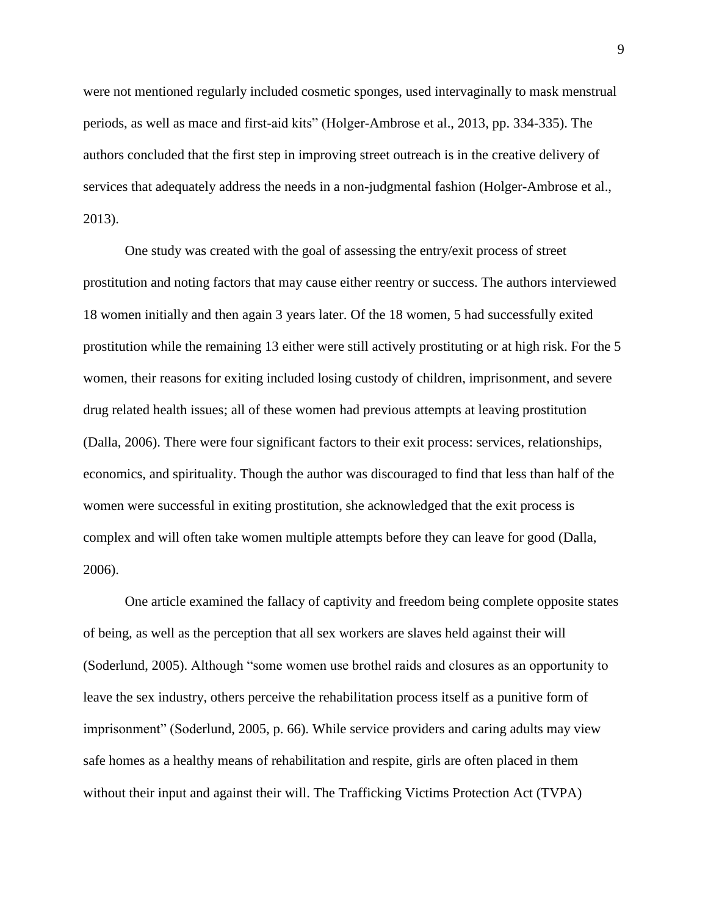were not mentioned regularly included cosmetic sponges, used intervaginally to mask menstrual periods, as well as mace and first-aid kits" (Holger-Ambrose et al., 2013, pp. 334-335). The authors concluded that the first step in improving street outreach is in the creative delivery of services that adequately address the needs in a non-judgmental fashion (Holger-Ambrose et al., 2013).

One study was created with the goal of assessing the entry/exit process of street prostitution and noting factors that may cause either reentry or success. The authors interviewed 18 women initially and then again 3 years later. Of the 18 women, 5 had successfully exited prostitution while the remaining 13 either were still actively prostituting or at high risk. For the 5 women, their reasons for exiting included losing custody of children, imprisonment, and severe drug related health issues; all of these women had previous attempts at leaving prostitution (Dalla, 2006). There were four significant factors to their exit process: services, relationships, economics, and spirituality. Though the author was discouraged to find that less than half of the women were successful in exiting prostitution, she acknowledged that the exit process is complex and will often take women multiple attempts before they can leave for good (Dalla, 2006).

One article examined the fallacy of captivity and freedom being complete opposite states of being, as well as the perception that all sex workers are slaves held against their will (Soderlund, 2005). Although "some women use brothel raids and closures as an opportunity to leave the sex industry, others perceive the rehabilitation process itself as a punitive form of imprisonment" (Soderlund, 2005, p. 66). While service providers and caring adults may view safe homes as a healthy means of rehabilitation and respite, girls are often placed in them without their input and against their will. The Trafficking Victims Protection Act (TVPA)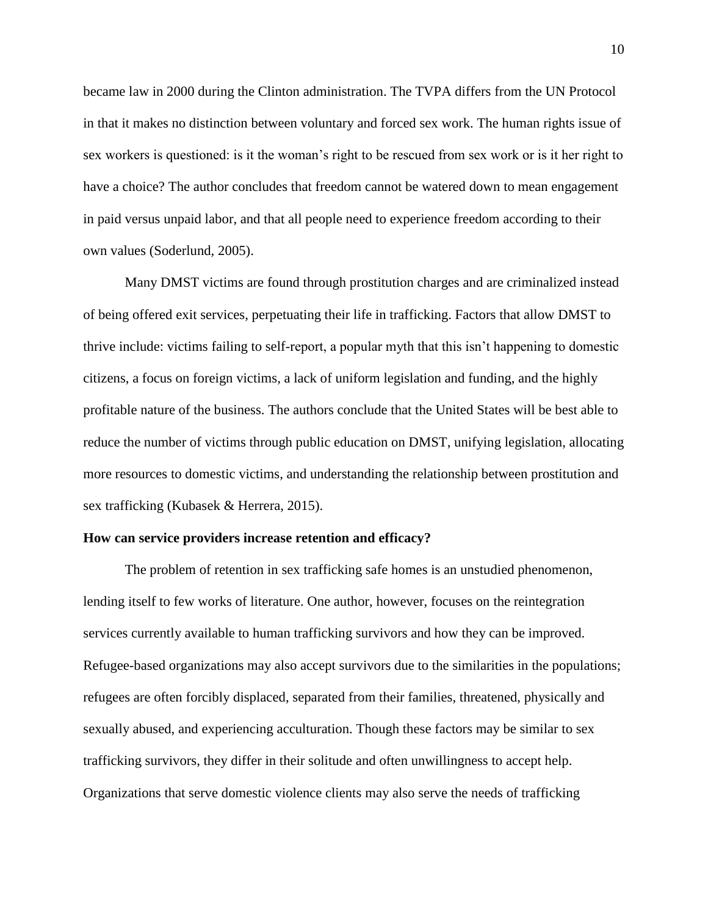became law in 2000 during the Clinton administration. The TVPA differs from the UN Protocol in that it makes no distinction between voluntary and forced sex work. The human rights issue of sex workers is questioned: is it the woman's right to be rescued from sex work or is it her right to have a choice? The author concludes that freedom cannot be watered down to mean engagement in paid versus unpaid labor, and that all people need to experience freedom according to their own values (Soderlund, 2005).

Many DMST victims are found through prostitution charges and are criminalized instead of being offered exit services, perpetuating their life in trafficking. Factors that allow DMST to thrive include: victims failing to self-report, a popular myth that this isn't happening to domestic citizens, a focus on foreign victims, a lack of uniform legislation and funding, and the highly profitable nature of the business. The authors conclude that the United States will be best able to reduce the number of victims through public education on DMST, unifying legislation, allocating more resources to domestic victims, and understanding the relationship between prostitution and sex trafficking (Kubasek & Herrera, 2015).

#### **How can service providers increase retention and efficacy?**

The problem of retention in sex trafficking safe homes is an unstudied phenomenon, lending itself to few works of literature. One author, however, focuses on the reintegration services currently available to human trafficking survivors and how they can be improved. Refugee-based organizations may also accept survivors due to the similarities in the populations; refugees are often forcibly displaced, separated from their families, threatened, physically and sexually abused, and experiencing acculturation. Though these factors may be similar to sex trafficking survivors, they differ in their solitude and often unwillingness to accept help. Organizations that serve domestic violence clients may also serve the needs of trafficking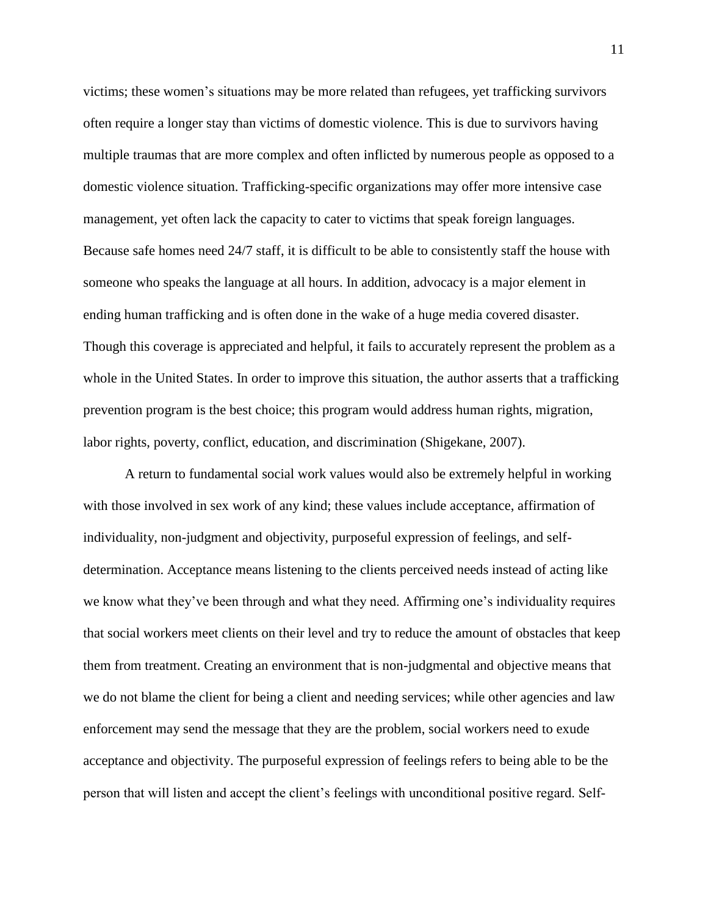victims; these women's situations may be more related than refugees, yet trafficking survivors often require a longer stay than victims of domestic violence. This is due to survivors having multiple traumas that are more complex and often inflicted by numerous people as opposed to a domestic violence situation. Trafficking-specific organizations may offer more intensive case management, yet often lack the capacity to cater to victims that speak foreign languages. Because safe homes need 24/7 staff, it is difficult to be able to consistently staff the house with someone who speaks the language at all hours. In addition, advocacy is a major element in ending human trafficking and is often done in the wake of a huge media covered disaster. Though this coverage is appreciated and helpful, it fails to accurately represent the problem as a whole in the United States. In order to improve this situation, the author asserts that a trafficking prevention program is the best choice; this program would address human rights, migration, labor rights, poverty, conflict, education, and discrimination (Shigekane, 2007).

A return to fundamental social work values would also be extremely helpful in working with those involved in sex work of any kind; these values include acceptance, affirmation of individuality, non-judgment and objectivity, purposeful expression of feelings, and selfdetermination. Acceptance means listening to the clients perceived needs instead of acting like we know what they've been through and what they need. Affirming one's individuality requires that social workers meet clients on their level and try to reduce the amount of obstacles that keep them from treatment. Creating an environment that is non-judgmental and objective means that we do not blame the client for being a client and needing services; while other agencies and law enforcement may send the message that they are the problem, social workers need to exude acceptance and objectivity. The purposeful expression of feelings refers to being able to be the person that will listen and accept the client's feelings with unconditional positive regard. Self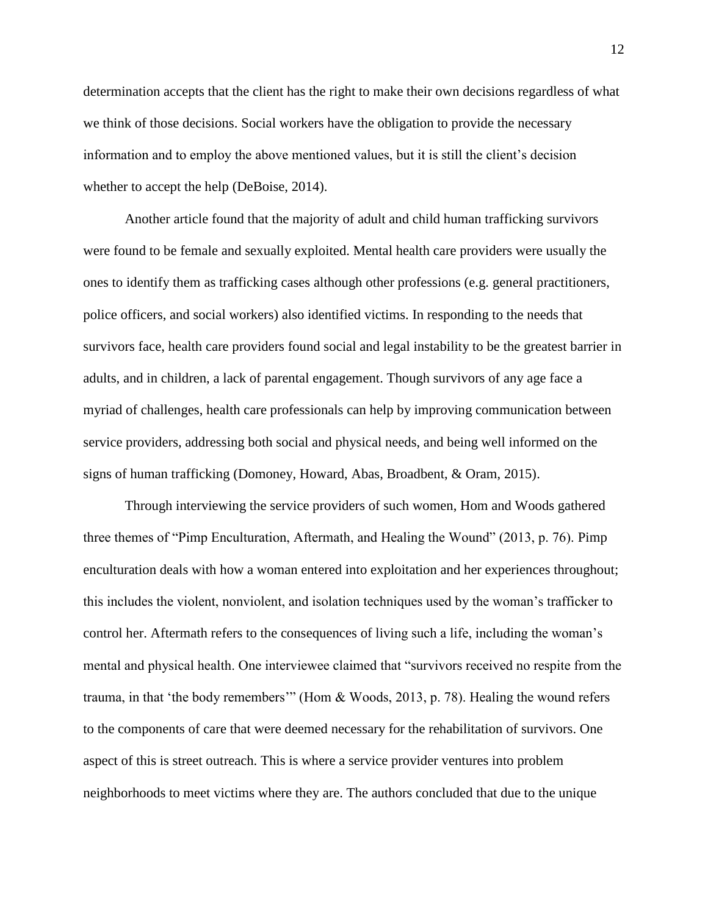determination accepts that the client has the right to make their own decisions regardless of what we think of those decisions. Social workers have the obligation to provide the necessary information and to employ the above mentioned values, but it is still the client's decision whether to accept the help (DeBoise, 2014).

Another article found that the majority of adult and child human trafficking survivors were found to be female and sexually exploited. Mental health care providers were usually the ones to identify them as trafficking cases although other professions (e.g. general practitioners, police officers, and social workers) also identified victims. In responding to the needs that survivors face, health care providers found social and legal instability to be the greatest barrier in adults, and in children, a lack of parental engagement. Though survivors of any age face a myriad of challenges, health care professionals can help by improving communication between service providers, addressing both social and physical needs, and being well informed on the signs of human trafficking (Domoney, Howard, Abas, Broadbent, & Oram, 2015).

Through interviewing the service providers of such women, Hom and Woods gathered three themes of "Pimp Enculturation, Aftermath, and Healing the Wound" (2013, p. 76). Pimp enculturation deals with how a woman entered into exploitation and her experiences throughout; this includes the violent, nonviolent, and isolation techniques used by the woman's trafficker to control her. Aftermath refers to the consequences of living such a life, including the woman's mental and physical health. One interviewee claimed that "survivors received no respite from the trauma, in that 'the body remembers'" (Hom & Woods, 2013, p. 78). Healing the wound refers to the components of care that were deemed necessary for the rehabilitation of survivors. One aspect of this is street outreach. This is where a service provider ventures into problem neighborhoods to meet victims where they are. The authors concluded that due to the unique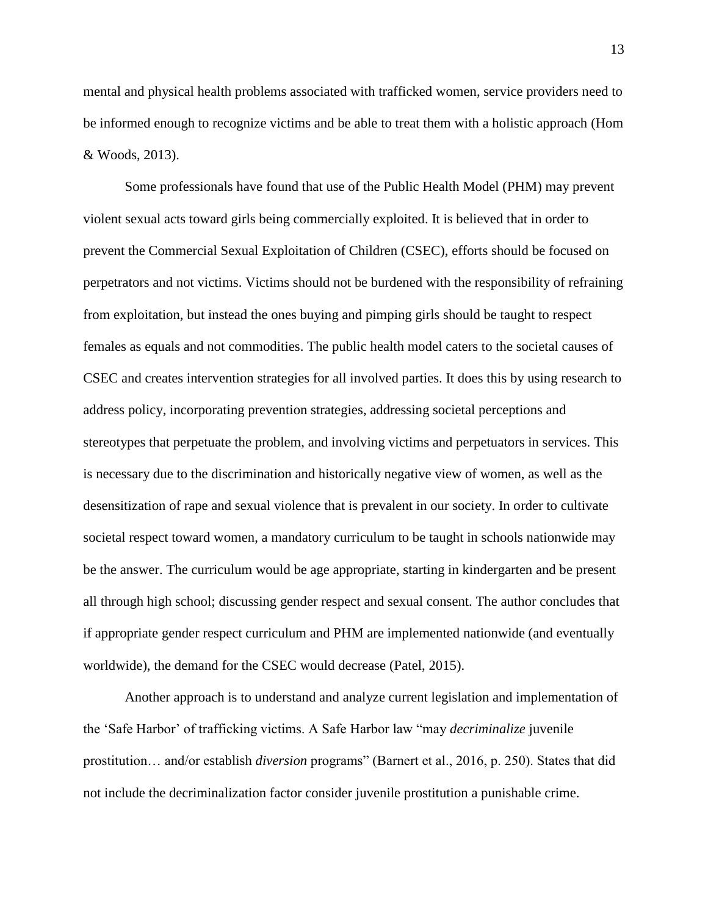mental and physical health problems associated with trafficked women, service providers need to be informed enough to recognize victims and be able to treat them with a holistic approach (Hom & Woods, 2013).

Some professionals have found that use of the Public Health Model (PHM) may prevent violent sexual acts toward girls being commercially exploited. It is believed that in order to prevent the Commercial Sexual Exploitation of Children (CSEC), efforts should be focused on perpetrators and not victims. Victims should not be burdened with the responsibility of refraining from exploitation, but instead the ones buying and pimping girls should be taught to respect females as equals and not commodities. The public health model caters to the societal causes of CSEC and creates intervention strategies for all involved parties. It does this by using research to address policy, incorporating prevention strategies, addressing societal perceptions and stereotypes that perpetuate the problem, and involving victims and perpetuators in services. This is necessary due to the discrimination and historically negative view of women, as well as the desensitization of rape and sexual violence that is prevalent in our society. In order to cultivate societal respect toward women, a mandatory curriculum to be taught in schools nationwide may be the answer. The curriculum would be age appropriate, starting in kindergarten and be present all through high school; discussing gender respect and sexual consent. The author concludes that if appropriate gender respect curriculum and PHM are implemented nationwide (and eventually worldwide), the demand for the CSEC would decrease (Patel, 2015).

Another approach is to understand and analyze current legislation and implementation of the 'Safe Harbor' of trafficking victims. A Safe Harbor law "may *decriminalize* juvenile prostitution… and/or establish *diversion* programs" (Barnert et al., 2016, p. 250). States that did not include the decriminalization factor consider juvenile prostitution a punishable crime.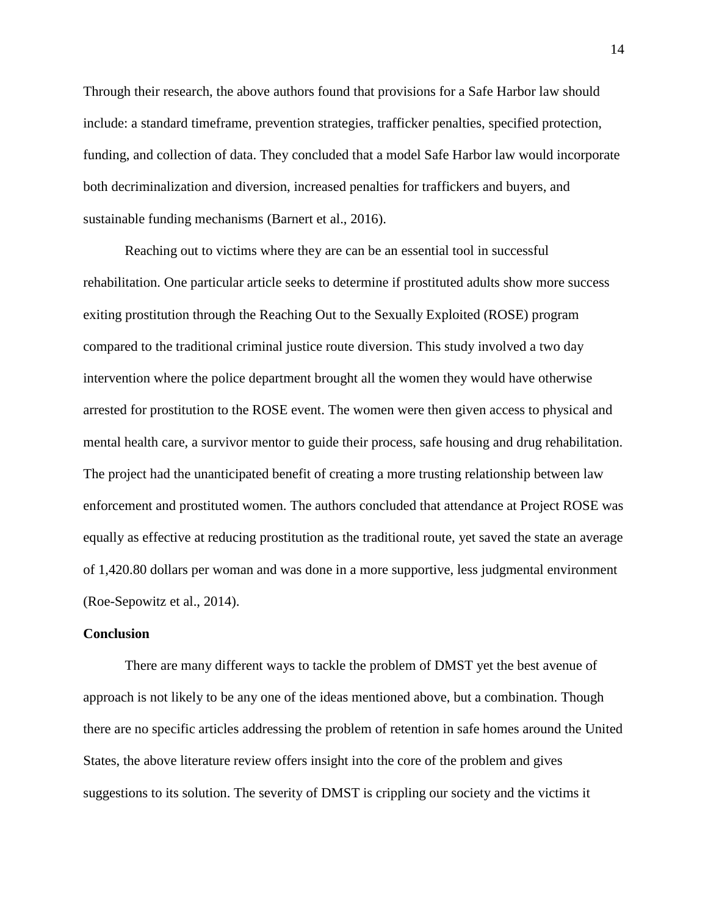Through their research, the above authors found that provisions for a Safe Harbor law should include: a standard timeframe, prevention strategies, trafficker penalties, specified protection, funding, and collection of data. They concluded that a model Safe Harbor law would incorporate both decriminalization and diversion, increased penalties for traffickers and buyers, and sustainable funding mechanisms (Barnert et al., 2016).

Reaching out to victims where they are can be an essential tool in successful rehabilitation. One particular article seeks to determine if prostituted adults show more success exiting prostitution through the Reaching Out to the Sexually Exploited (ROSE) program compared to the traditional criminal justice route diversion. This study involved a two day intervention where the police department brought all the women they would have otherwise arrested for prostitution to the ROSE event. The women were then given access to physical and mental health care, a survivor mentor to guide their process, safe housing and drug rehabilitation. The project had the unanticipated benefit of creating a more trusting relationship between law enforcement and prostituted women. The authors concluded that attendance at Project ROSE was equally as effective at reducing prostitution as the traditional route, yet saved the state an average of 1,420.80 dollars per woman and was done in a more supportive, less judgmental environment (Roe-Sepowitz et al., 2014).

#### **Conclusion**

There are many different ways to tackle the problem of DMST yet the best avenue of approach is not likely to be any one of the ideas mentioned above, but a combination. Though there are no specific articles addressing the problem of retention in safe homes around the United States, the above literature review offers insight into the core of the problem and gives suggestions to its solution. The severity of DMST is crippling our society and the victims it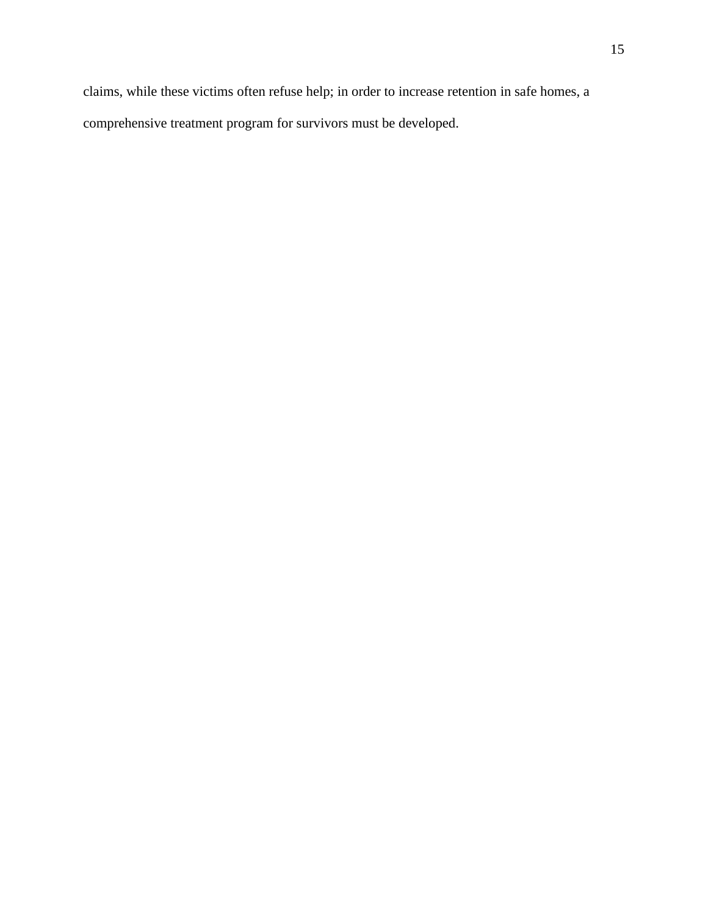claims, while these victims often refuse help; in order to increase retention in safe homes, a comprehensive treatment program for survivors must be developed.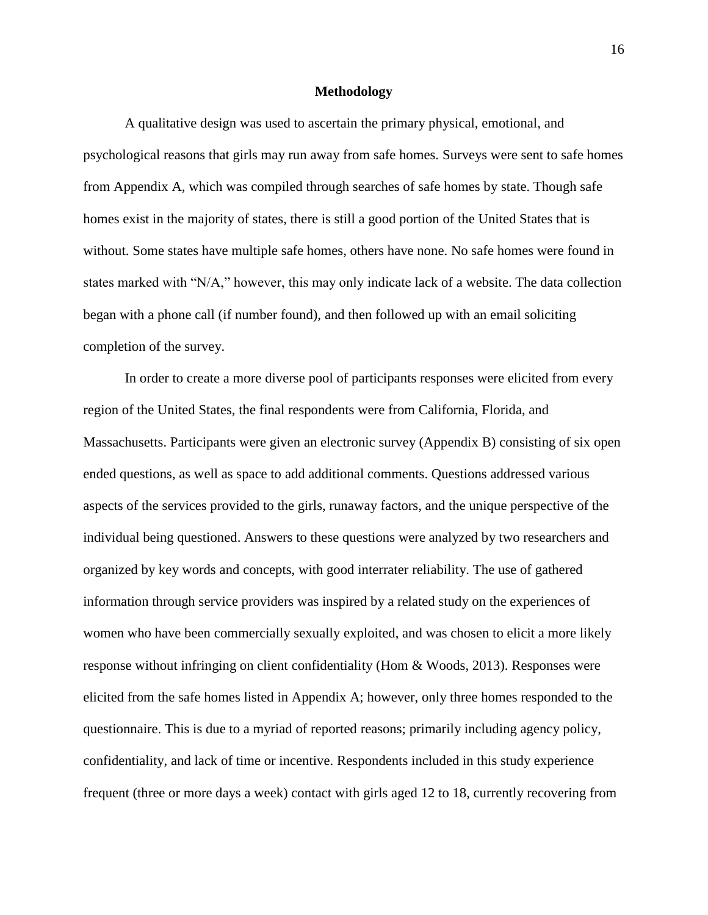#### **Methodology**

A qualitative design was used to ascertain the primary physical, emotional, and psychological reasons that girls may run away from safe homes. Surveys were sent to safe homes from Appendix A, which was compiled through searches of safe homes by state. Though safe homes exist in the majority of states, there is still a good portion of the United States that is without. Some states have multiple safe homes, others have none. No safe homes were found in states marked with "N/A," however, this may only indicate lack of a website. The data collection began with a phone call (if number found), and then followed up with an email soliciting completion of the survey.

In order to create a more diverse pool of participants responses were elicited from every region of the United States, the final respondents were from California, Florida, and Massachusetts. Participants were given an electronic survey (Appendix B) consisting of six open ended questions, as well as space to add additional comments. Questions addressed various aspects of the services provided to the girls, runaway factors, and the unique perspective of the individual being questioned. Answers to these questions were analyzed by two researchers and organized by key words and concepts, with good interrater reliability. The use of gathered information through service providers was inspired by a related study on the experiences of women who have been commercially sexually exploited, and was chosen to elicit a more likely response without infringing on client confidentiality (Hom & Woods, 2013). Responses were elicited from the safe homes listed in Appendix A; however, only three homes responded to the questionnaire. This is due to a myriad of reported reasons; primarily including agency policy, confidentiality, and lack of time or incentive. Respondents included in this study experience frequent (three or more days a week) contact with girls aged 12 to 18, currently recovering from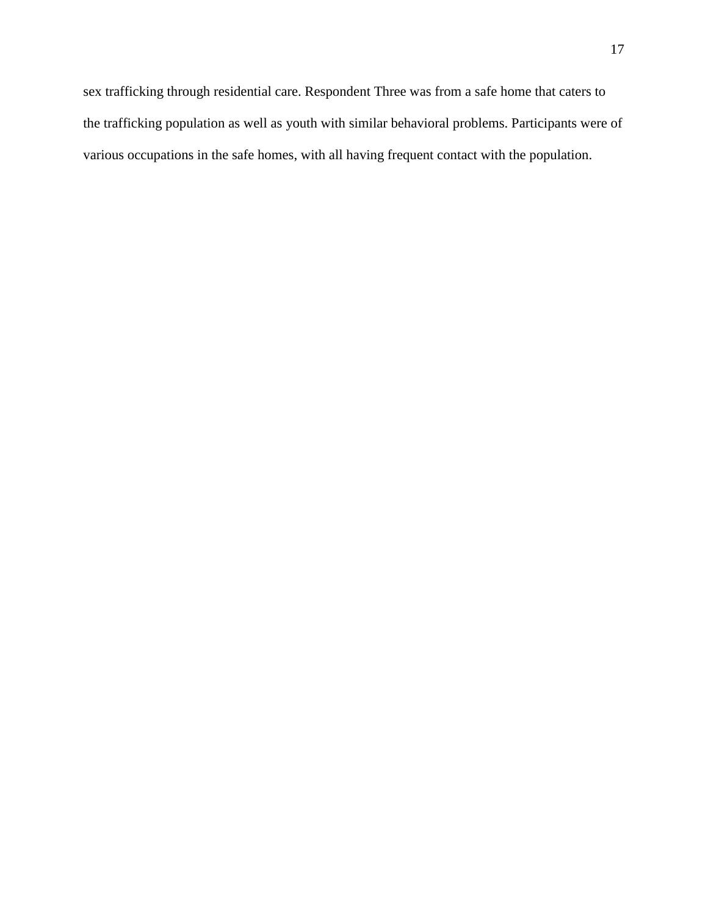sex trafficking through residential care. Respondent Three was from a safe home that caters to the trafficking population as well as youth with similar behavioral problems. Participants were of various occupations in the safe homes, with all having frequent contact with the population.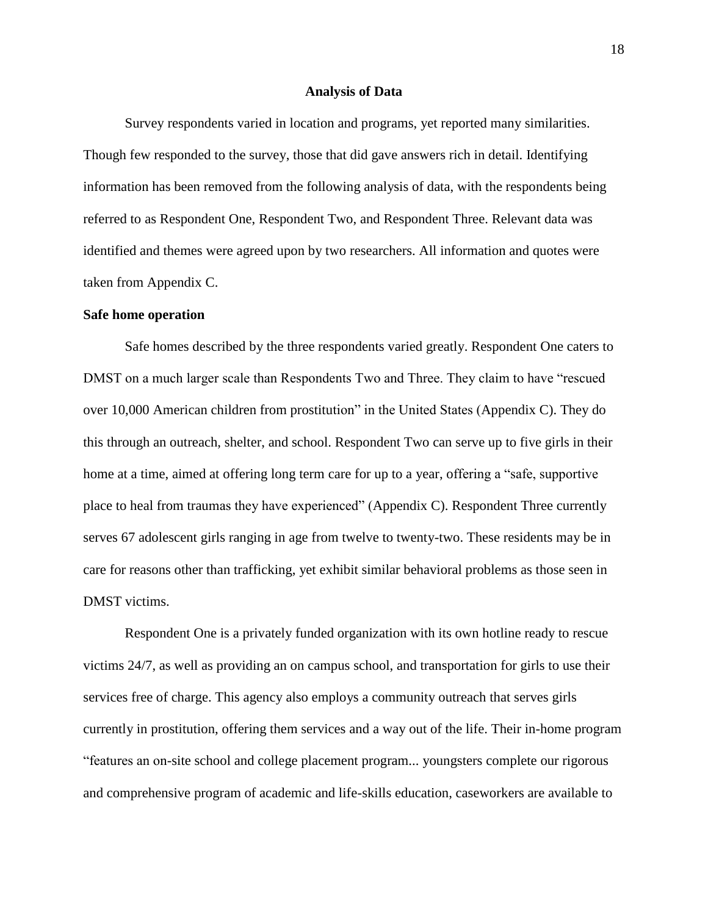#### **Analysis of Data**

Survey respondents varied in location and programs, yet reported many similarities. Though few responded to the survey, those that did gave answers rich in detail. Identifying information has been removed from the following analysis of data, with the respondents being referred to as Respondent One, Respondent Two, and Respondent Three. Relevant data was identified and themes were agreed upon by two researchers. All information and quotes were taken from Appendix C.

#### **Safe home operation**

Safe homes described by the three respondents varied greatly. Respondent One caters to DMST on a much larger scale than Respondents Two and Three. They claim to have "rescued over 10,000 American children from prostitution" in the United States (Appendix C). They do this through an outreach, shelter, and school. Respondent Two can serve up to five girls in their home at a time, aimed at offering long term care for up to a year, offering a "safe, supportive place to heal from traumas they have experienced" (Appendix C). Respondent Three currently serves 67 adolescent girls ranging in age from twelve to twenty-two. These residents may be in care for reasons other than trafficking, yet exhibit similar behavioral problems as those seen in DMST victims.

Respondent One is a privately funded organization with its own hotline ready to rescue victims 24/7, as well as providing an on campus school, and transportation for girls to use their services free of charge. This agency also employs a community outreach that serves girls currently in prostitution, offering them services and a way out of the life. Their in-home program "features an on-site school and college placement program... youngsters complete our rigorous and comprehensive program of academic and life-skills education, caseworkers are available to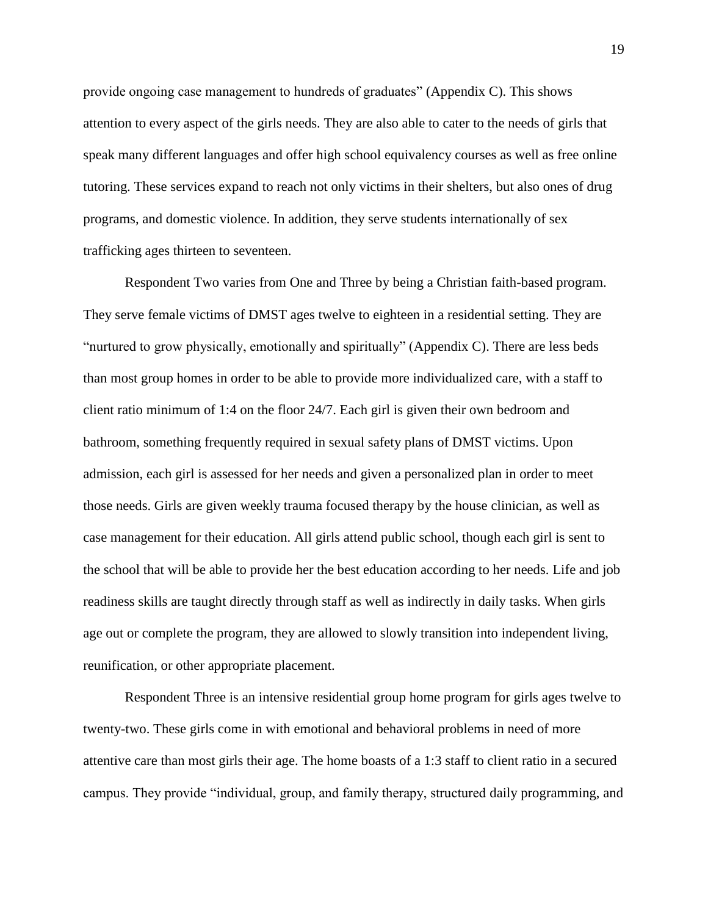provide ongoing case management to hundreds of graduates" (Appendix C). This shows attention to every aspect of the girls needs. They are also able to cater to the needs of girls that speak many different languages and offer high school equivalency courses as well as free online tutoring. These services expand to reach not only victims in their shelters, but also ones of drug programs, and domestic violence. In addition, they serve students internationally of sex trafficking ages thirteen to seventeen.

Respondent Two varies from One and Three by being a Christian faith-based program. They serve female victims of DMST ages twelve to eighteen in a residential setting. They are "nurtured to grow physically, emotionally and spiritually" (Appendix C). There are less beds than most group homes in order to be able to provide more individualized care, with a staff to client ratio minimum of 1:4 on the floor 24/7. Each girl is given their own bedroom and bathroom, something frequently required in sexual safety plans of DMST victims. Upon admission, each girl is assessed for her needs and given a personalized plan in order to meet those needs. Girls are given weekly trauma focused therapy by the house clinician, as well as case management for their education. All girls attend public school, though each girl is sent to the school that will be able to provide her the best education according to her needs. Life and job readiness skills are taught directly through staff as well as indirectly in daily tasks. When girls age out or complete the program, they are allowed to slowly transition into independent living, reunification, or other appropriate placement.

Respondent Three is an intensive residential group home program for girls ages twelve to twenty-two. These girls come in with emotional and behavioral problems in need of more attentive care than most girls their age. The home boasts of a 1:3 staff to client ratio in a secured campus. They provide "individual, group, and family therapy, structured daily programming, and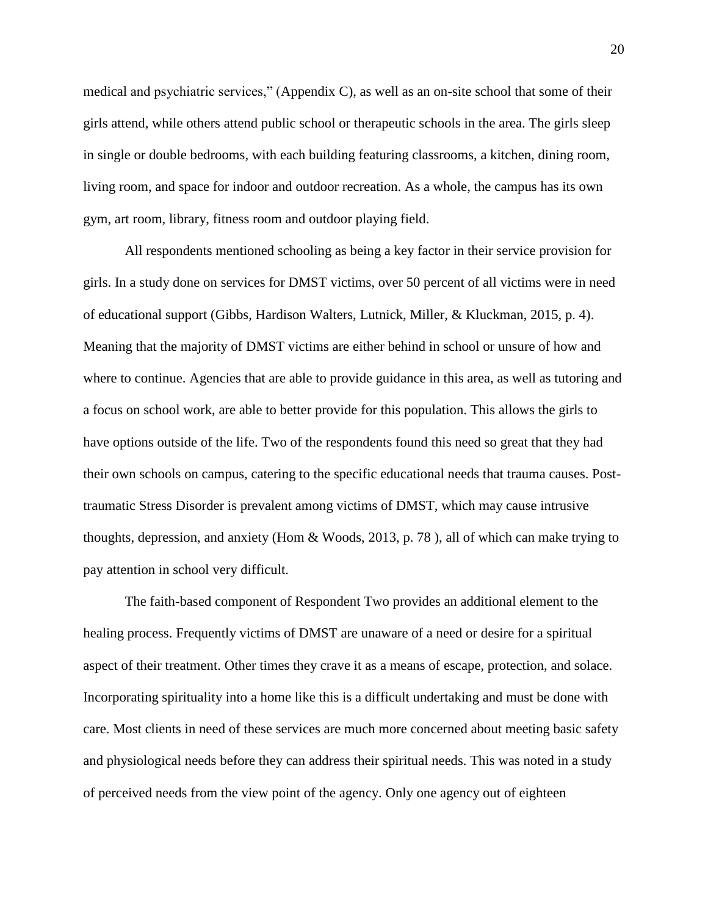medical and psychiatric services," (Appendix C), as well as an on-site school that some of their girls attend, while others attend public school or therapeutic schools in the area. The girls sleep in single or double bedrooms, with each building featuring classrooms, a kitchen, dining room, living room, and space for indoor and outdoor recreation. As a whole, the campus has its own gym, art room, library, fitness room and outdoor playing field.

All respondents mentioned schooling as being a key factor in their service provision for girls. In a study done on services for DMST victims, over 50 percent of all victims were in need of educational support (Gibbs, Hardison Walters, Lutnick, Miller, & Kluckman, 2015, p. 4). Meaning that the majority of DMST victims are either behind in school or unsure of how and where to continue. Agencies that are able to provide guidance in this area, as well as tutoring and a focus on school work, are able to better provide for this population. This allows the girls to have options outside of the life. Two of the respondents found this need so great that they had their own schools on campus, catering to the specific educational needs that trauma causes. Posttraumatic Stress Disorder is prevalent among victims of DMST, which may cause intrusive thoughts, depression, and anxiety (Hom & Woods, 2013, p. 78 ), all of which can make trying to pay attention in school very difficult.

The faith-based component of Respondent Two provides an additional element to the healing process. Frequently victims of DMST are unaware of a need or desire for a spiritual aspect of their treatment. Other times they crave it as a means of escape, protection, and solace. Incorporating spirituality into a home like this is a difficult undertaking and must be done with care. Most clients in need of these services are much more concerned about meeting basic safety and physiological needs before they can address their spiritual needs. This was noted in a study of perceived needs from the view point of the agency. Only one agency out of eighteen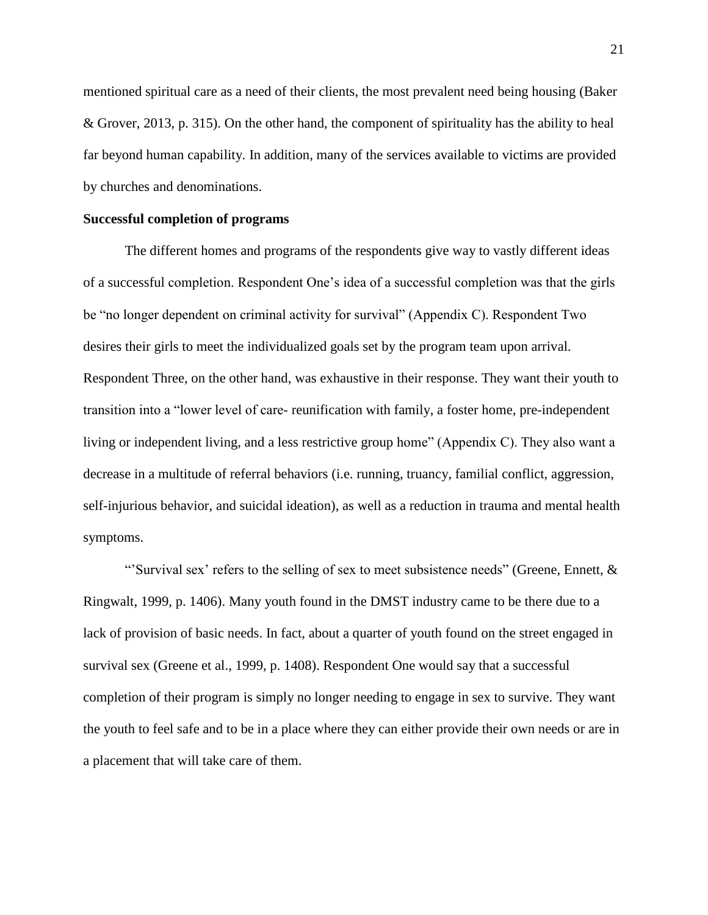mentioned spiritual care as a need of their clients, the most prevalent need being housing (Baker & Grover, 2013, p. 315). On the other hand, the component of spirituality has the ability to heal far beyond human capability. In addition, many of the services available to victims are provided by churches and denominations.

#### **Successful completion of programs**

The different homes and programs of the respondents give way to vastly different ideas of a successful completion. Respondent One's idea of a successful completion was that the girls be "no longer dependent on criminal activity for survival" (Appendix C). Respondent Two desires their girls to meet the individualized goals set by the program team upon arrival. Respondent Three, on the other hand, was exhaustive in their response. They want their youth to transition into a "lower level of care- reunification with family, a foster home, pre-independent living or independent living, and a less restrictive group home" (Appendix C). They also want a decrease in a multitude of referral behaviors (i.e. running, truancy, familial conflict, aggression, self-injurious behavior, and suicidal ideation), as well as a reduction in trauma and mental health symptoms.

"'Survival sex' refers to the selling of sex to meet subsistence needs" (Greene, Ennett, & Ringwalt, 1999, p. 1406). Many youth found in the DMST industry came to be there due to a lack of provision of basic needs. In fact, about a quarter of youth found on the street engaged in survival sex (Greene et al., 1999, p. 1408). Respondent One would say that a successful completion of their program is simply no longer needing to engage in sex to survive. They want the youth to feel safe and to be in a place where they can either provide their own needs or are in a placement that will take care of them.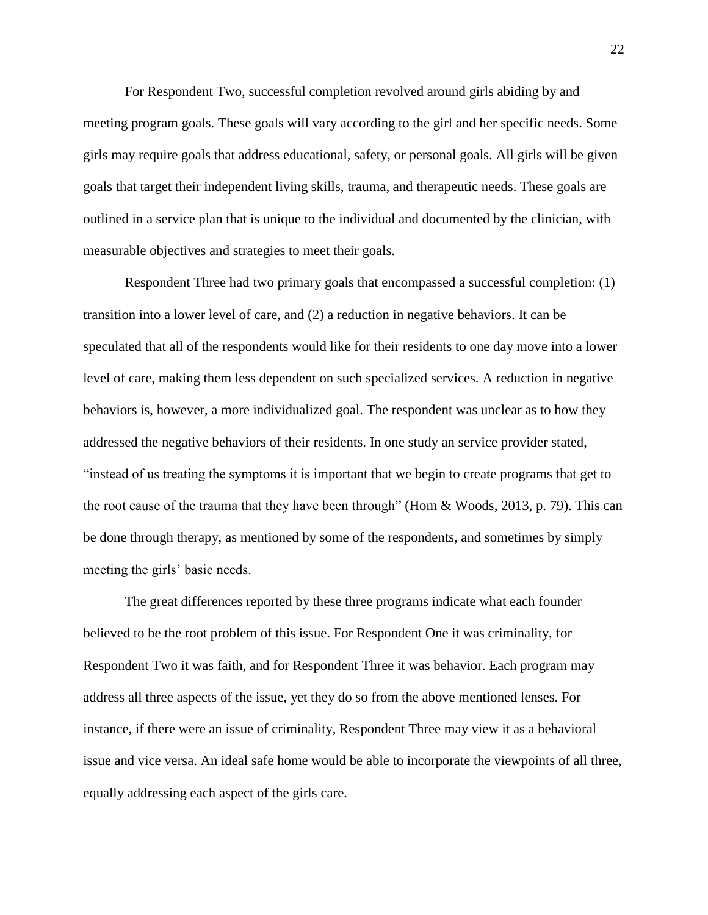For Respondent Two, successful completion revolved around girls abiding by and meeting program goals. These goals will vary according to the girl and her specific needs. Some girls may require goals that address educational, safety, or personal goals. All girls will be given goals that target their independent living skills, trauma, and therapeutic needs. These goals are outlined in a service plan that is unique to the individual and documented by the clinician, with measurable objectives and strategies to meet their goals.

Respondent Three had two primary goals that encompassed a successful completion: (1) transition into a lower level of care, and (2) a reduction in negative behaviors. It can be speculated that all of the respondents would like for their residents to one day move into a lower level of care, making them less dependent on such specialized services. A reduction in negative behaviors is, however, a more individualized goal. The respondent was unclear as to how they addressed the negative behaviors of their residents. In one study an service provider stated, "instead of us treating the symptoms it is important that we begin to create programs that get to the root cause of the trauma that they have been through" (Hom & Woods, 2013, p. 79). This can be done through therapy, as mentioned by some of the respondents, and sometimes by simply meeting the girls' basic needs.

The great differences reported by these three programs indicate what each founder believed to be the root problem of this issue. For Respondent One it was criminality, for Respondent Two it was faith, and for Respondent Three it was behavior. Each program may address all three aspects of the issue, yet they do so from the above mentioned lenses. For instance, if there were an issue of criminality, Respondent Three may view it as a behavioral issue and vice versa. An ideal safe home would be able to incorporate the viewpoints of all three, equally addressing each aspect of the girls care.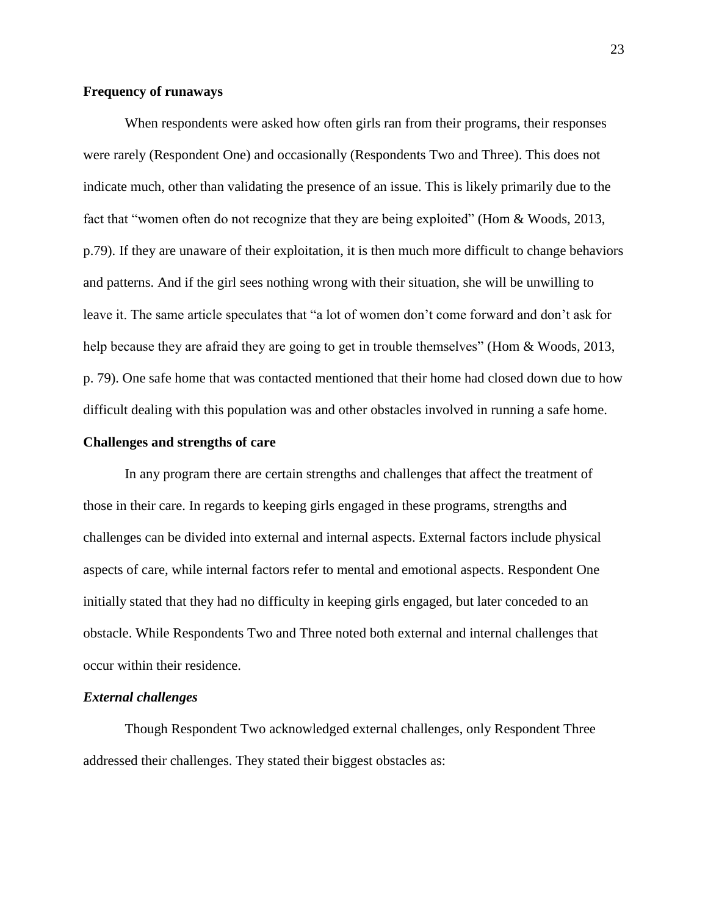#### **Frequency of runaways**

When respondents were asked how often girls ran from their programs, their responses were rarely (Respondent One) and occasionally (Respondents Two and Three). This does not indicate much, other than validating the presence of an issue. This is likely primarily due to the fact that "women often do not recognize that they are being exploited" (Hom & Woods, 2013, p.79). If they are unaware of their exploitation, it is then much more difficult to change behaviors and patterns. And if the girl sees nothing wrong with their situation, she will be unwilling to leave it. The same article speculates that "a lot of women don't come forward and don't ask for help because they are afraid they are going to get in trouble themselves" (Hom & Woods, 2013, p. 79). One safe home that was contacted mentioned that their home had closed down due to how difficult dealing with this population was and other obstacles involved in running a safe home.

#### **Challenges and strengths of care**

In any program there are certain strengths and challenges that affect the treatment of those in their care. In regards to keeping girls engaged in these programs, strengths and challenges can be divided into external and internal aspects. External factors include physical aspects of care, while internal factors refer to mental and emotional aspects. Respondent One initially stated that they had no difficulty in keeping girls engaged, but later conceded to an obstacle. While Respondents Two and Three noted both external and internal challenges that occur within their residence.

#### *External challenges*

Though Respondent Two acknowledged external challenges, only Respondent Three addressed their challenges. They stated their biggest obstacles as: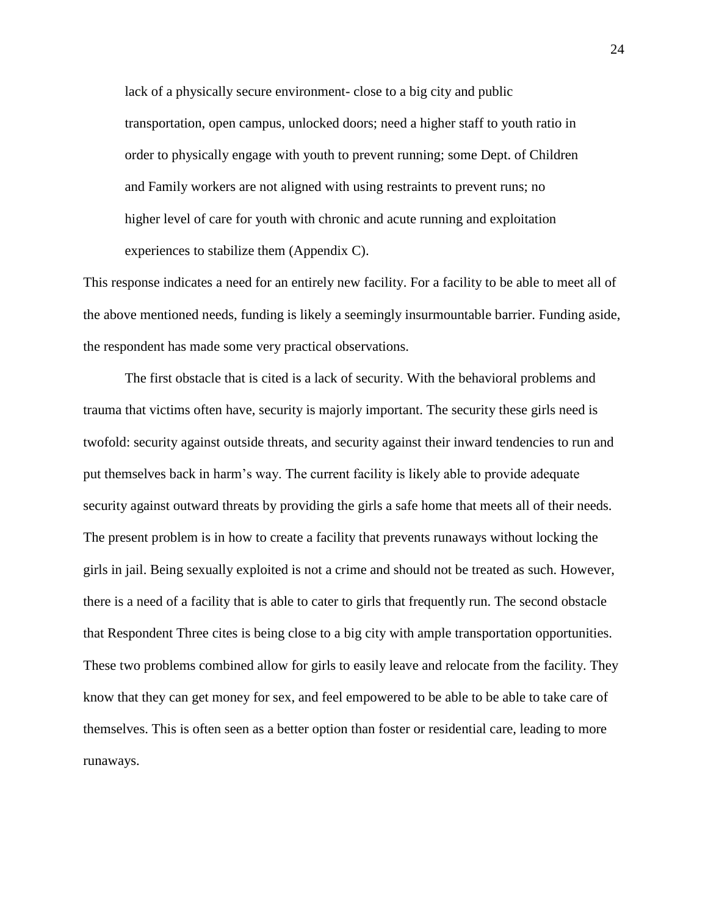lack of a physically secure environment- close to a big city and public transportation, open campus, unlocked doors; need a higher staff to youth ratio in order to physically engage with youth to prevent running; some Dept. of Children and Family workers are not aligned with using restraints to prevent runs; no higher level of care for youth with chronic and acute running and exploitation experiences to stabilize them (Appendix C).

This response indicates a need for an entirely new facility. For a facility to be able to meet all of the above mentioned needs, funding is likely a seemingly insurmountable barrier. Funding aside, the respondent has made some very practical observations.

The first obstacle that is cited is a lack of security. With the behavioral problems and trauma that victims often have, security is majorly important. The security these girls need is twofold: security against outside threats, and security against their inward tendencies to run and put themselves back in harm's way. The current facility is likely able to provide adequate security against outward threats by providing the girls a safe home that meets all of their needs. The present problem is in how to create a facility that prevents runaways without locking the girls in jail. Being sexually exploited is not a crime and should not be treated as such. However, there is a need of a facility that is able to cater to girls that frequently run. The second obstacle that Respondent Three cites is being close to a big city with ample transportation opportunities. These two problems combined allow for girls to easily leave and relocate from the facility. They know that they can get money for sex, and feel empowered to be able to be able to take care of themselves. This is often seen as a better option than foster or residential care, leading to more runaways.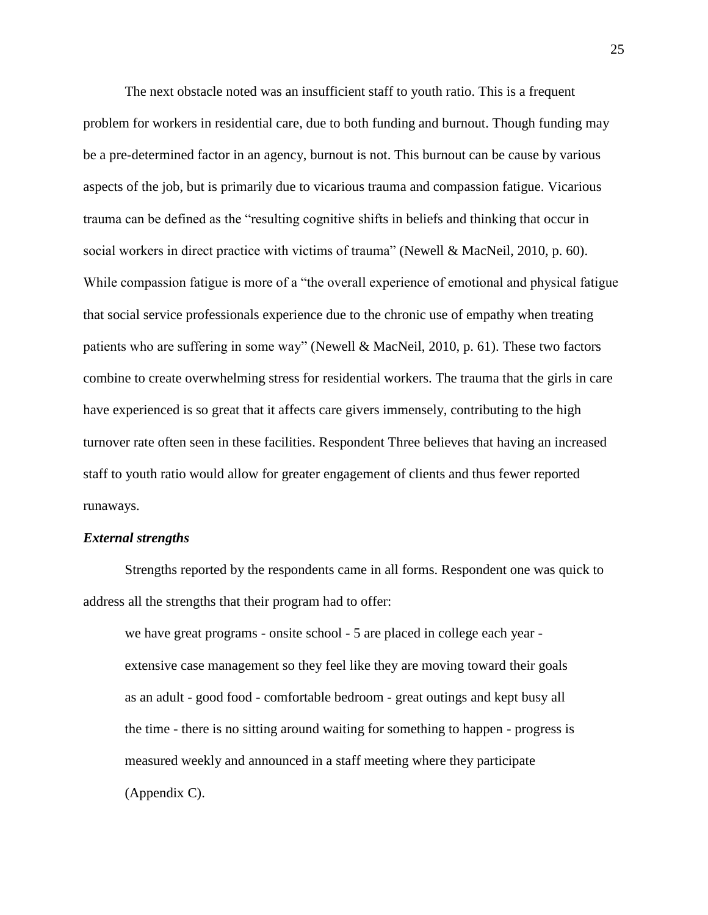The next obstacle noted was an insufficient staff to youth ratio. This is a frequent problem for workers in residential care, due to both funding and burnout. Though funding may be a pre-determined factor in an agency, burnout is not. This burnout can be cause by various aspects of the job, but is primarily due to vicarious trauma and compassion fatigue. Vicarious trauma can be defined as the "resulting cognitive shifts in beliefs and thinking that occur in social workers in direct practice with victims of trauma" (Newell & MacNeil, 2010, p. 60). While compassion fatigue is more of a "the overall experience of emotional and physical fatigue that social service professionals experience due to the chronic use of empathy when treating patients who are suffering in some way" (Newell & MacNeil, 2010, p. 61). These two factors combine to create overwhelming stress for residential workers. The trauma that the girls in care have experienced is so great that it affects care givers immensely, contributing to the high turnover rate often seen in these facilities. Respondent Three believes that having an increased staff to youth ratio would allow for greater engagement of clients and thus fewer reported runaways.

#### *External strengths*

Strengths reported by the respondents came in all forms. Respondent one was quick to address all the strengths that their program had to offer:

we have great programs - onsite school - 5 are placed in college each year extensive case management so they feel like they are moving toward their goals as an adult - good food - comfortable bedroom - great outings and kept busy all the time - there is no sitting around waiting for something to happen - progress is measured weekly and announced in a staff meeting where they participate (Appendix C).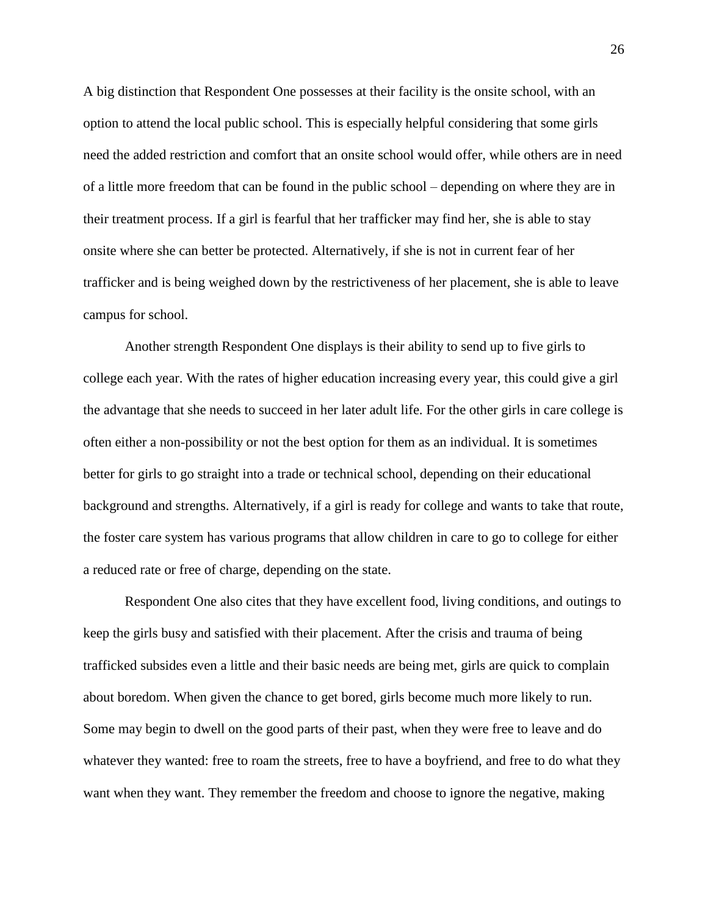A big distinction that Respondent One possesses at their facility is the onsite school, with an option to attend the local public school. This is especially helpful considering that some girls need the added restriction and comfort that an onsite school would offer, while others are in need of a little more freedom that can be found in the public school – depending on where they are in their treatment process. If a girl is fearful that her trafficker may find her, she is able to stay onsite where she can better be protected. Alternatively, if she is not in current fear of her trafficker and is being weighed down by the restrictiveness of her placement, she is able to leave campus for school.

Another strength Respondent One displays is their ability to send up to five girls to college each year. With the rates of higher education increasing every year, this could give a girl the advantage that she needs to succeed in her later adult life. For the other girls in care college is often either a non-possibility or not the best option for them as an individual. It is sometimes better for girls to go straight into a trade or technical school, depending on their educational background and strengths. Alternatively, if a girl is ready for college and wants to take that route, the foster care system has various programs that allow children in care to go to college for either a reduced rate or free of charge, depending on the state.

Respondent One also cites that they have excellent food, living conditions, and outings to keep the girls busy and satisfied with their placement. After the crisis and trauma of being trafficked subsides even a little and their basic needs are being met, girls are quick to complain about boredom. When given the chance to get bored, girls become much more likely to run. Some may begin to dwell on the good parts of their past, when they were free to leave and do whatever they wanted: free to roam the streets, free to have a boyfriend, and free to do what they want when they want. They remember the freedom and choose to ignore the negative, making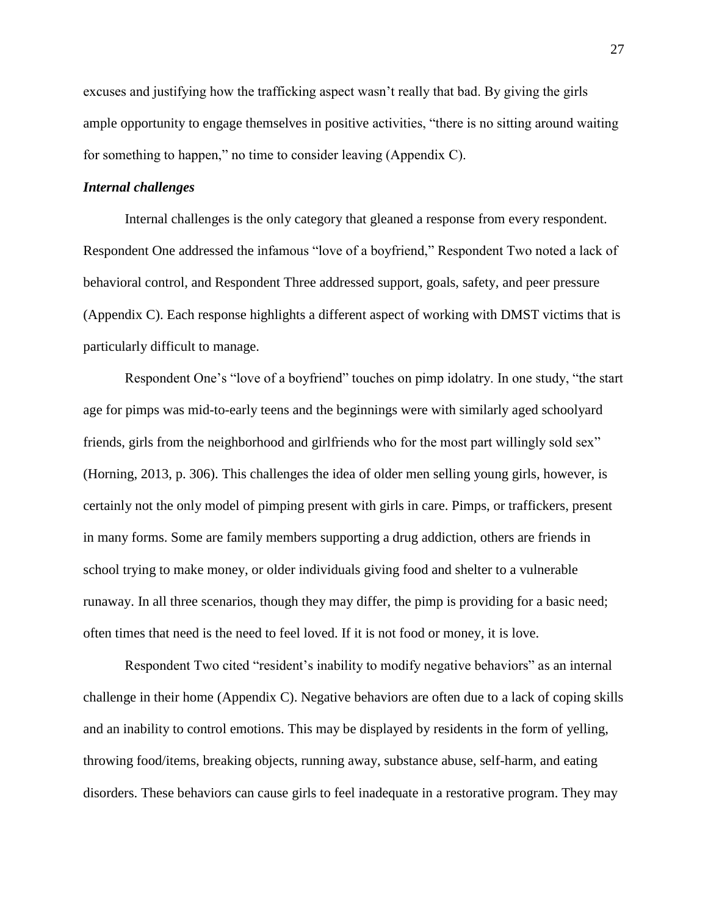excuses and justifying how the trafficking aspect wasn't really that bad. By giving the girls ample opportunity to engage themselves in positive activities, "there is no sitting around waiting for something to happen," no time to consider leaving (Appendix C).

#### *Internal challenges*

Internal challenges is the only category that gleaned a response from every respondent. Respondent One addressed the infamous "love of a boyfriend," Respondent Two noted a lack of behavioral control, and Respondent Three addressed support, goals, safety, and peer pressure (Appendix C). Each response highlights a different aspect of working with DMST victims that is particularly difficult to manage.

Respondent One's "love of a boyfriend" touches on pimp idolatry. In one study, "the start age for pimps was mid-to-early teens and the beginnings were with similarly aged schoolyard friends, girls from the neighborhood and girlfriends who for the most part willingly sold sex" (Horning, 2013, p. 306). This challenges the idea of older men selling young girls, however, is certainly not the only model of pimping present with girls in care. Pimps, or traffickers, present in many forms. Some are family members supporting a drug addiction, others are friends in school trying to make money, or older individuals giving food and shelter to a vulnerable runaway. In all three scenarios, though they may differ, the pimp is providing for a basic need; often times that need is the need to feel loved. If it is not food or money, it is love.

Respondent Two cited "resident's inability to modify negative behaviors" as an internal challenge in their home (Appendix C). Negative behaviors are often due to a lack of coping skills and an inability to control emotions. This may be displayed by residents in the form of yelling, throwing food/items, breaking objects, running away, substance abuse, self-harm, and eating disorders. These behaviors can cause girls to feel inadequate in a restorative program. They may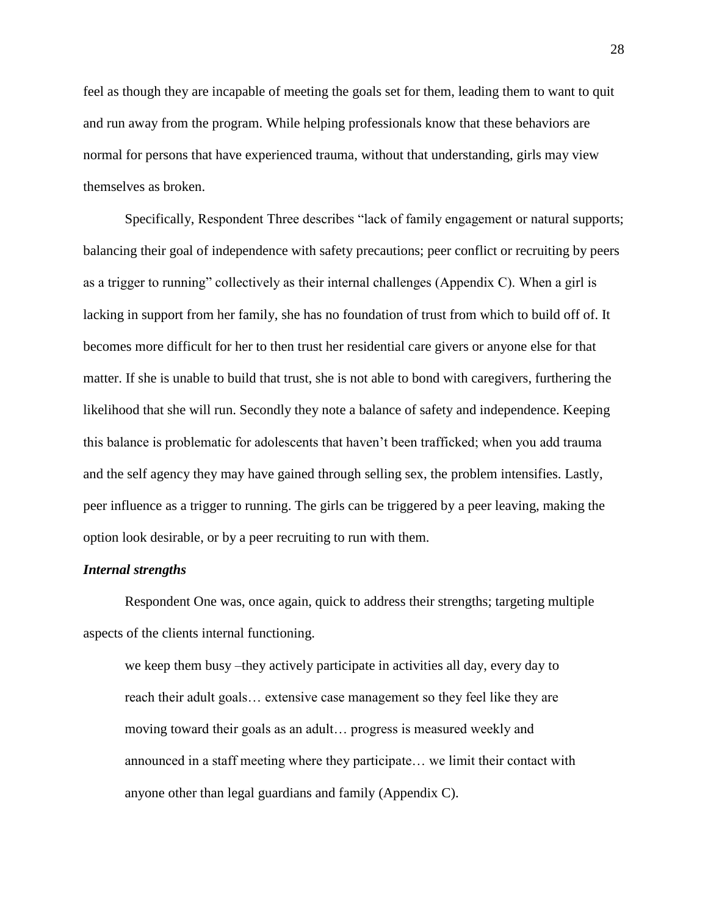feel as though they are incapable of meeting the goals set for them, leading them to want to quit and run away from the program. While helping professionals know that these behaviors are normal for persons that have experienced trauma, without that understanding, girls may view themselves as broken.

Specifically, Respondent Three describes "lack of family engagement or natural supports; balancing their goal of independence with safety precautions; peer conflict or recruiting by peers as a trigger to running" collectively as their internal challenges (Appendix C). When a girl is lacking in support from her family, she has no foundation of trust from which to build off of. It becomes more difficult for her to then trust her residential care givers or anyone else for that matter. If she is unable to build that trust, she is not able to bond with caregivers, furthering the likelihood that she will run. Secondly they note a balance of safety and independence. Keeping this balance is problematic for adolescents that haven't been trafficked; when you add trauma and the self agency they may have gained through selling sex, the problem intensifies. Lastly, peer influence as a trigger to running. The girls can be triggered by a peer leaving, making the option look desirable, or by a peer recruiting to run with them.

#### *Internal strengths*

Respondent One was, once again, quick to address their strengths; targeting multiple aspects of the clients internal functioning.

we keep them busy –they actively participate in activities all day, every day to reach their adult goals… extensive case management so they feel like they are moving toward their goals as an adult… progress is measured weekly and announced in a staff meeting where they participate… we limit their contact with anyone other than legal guardians and family (Appendix C).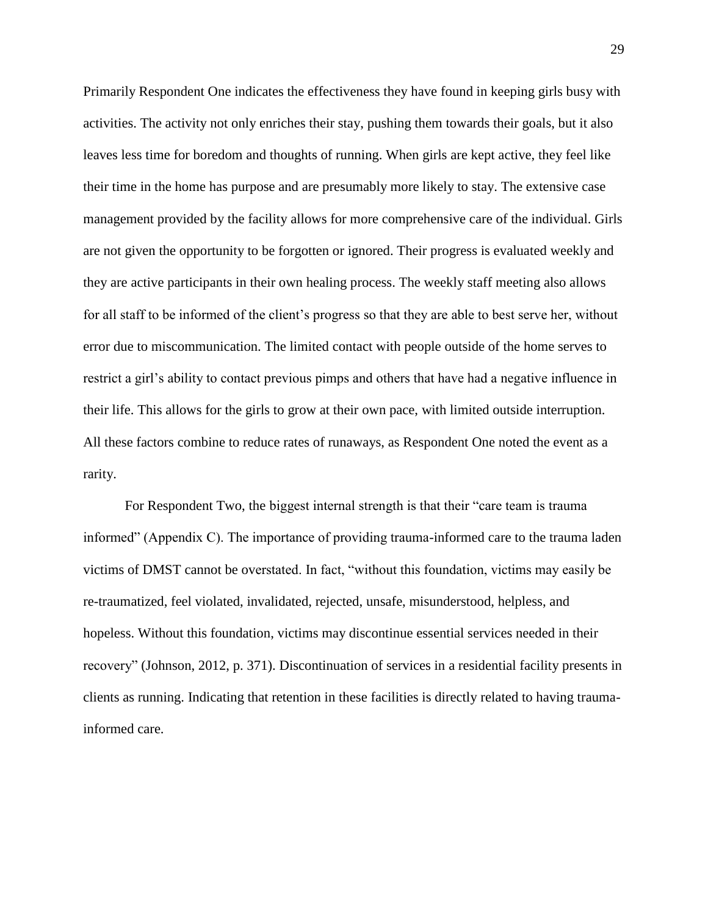Primarily Respondent One indicates the effectiveness they have found in keeping girls busy with activities. The activity not only enriches their stay, pushing them towards their goals, but it also leaves less time for boredom and thoughts of running. When girls are kept active, they feel like their time in the home has purpose and are presumably more likely to stay. The extensive case management provided by the facility allows for more comprehensive care of the individual. Girls are not given the opportunity to be forgotten or ignored. Their progress is evaluated weekly and they are active participants in their own healing process. The weekly staff meeting also allows for all staff to be informed of the client's progress so that they are able to best serve her, without error due to miscommunication. The limited contact with people outside of the home serves to restrict a girl's ability to contact previous pimps and others that have had a negative influence in their life. This allows for the girls to grow at their own pace, with limited outside interruption. All these factors combine to reduce rates of runaways, as Respondent One noted the event as a rarity.

For Respondent Two, the biggest internal strength is that their "care team is trauma informed" (Appendix C). The importance of providing trauma-informed care to the trauma laden victims of DMST cannot be overstated. In fact, "without this foundation, victims may easily be re-traumatized, feel violated, invalidated, rejected, unsafe, misunderstood, helpless, and hopeless. Without this foundation, victims may discontinue essential services needed in their recovery" (Johnson, 2012, p. 371). Discontinuation of services in a residential facility presents in clients as running. Indicating that retention in these facilities is directly related to having traumainformed care.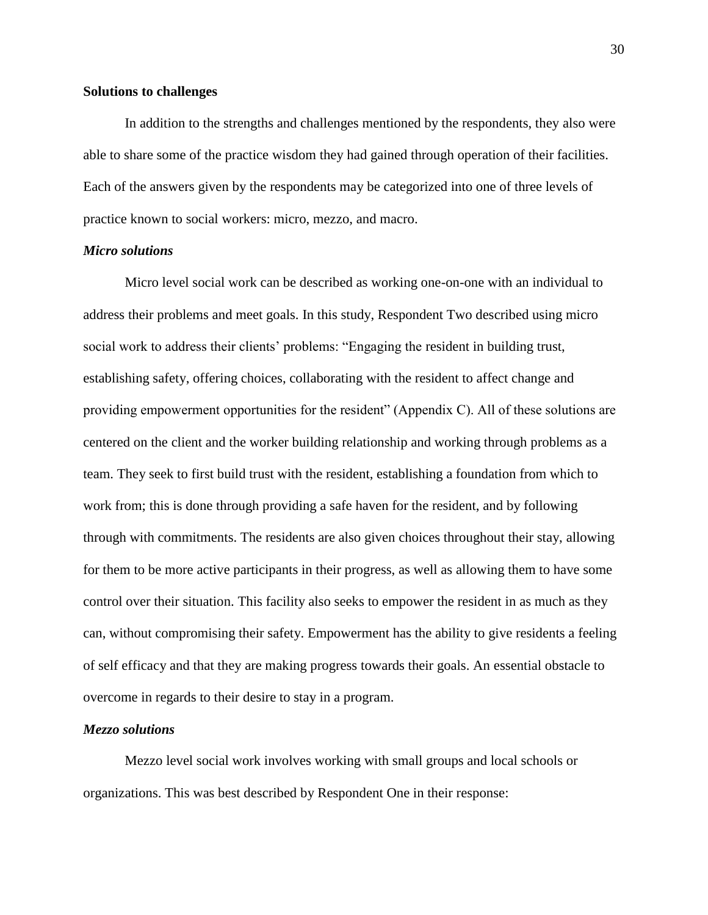#### **Solutions to challenges**

In addition to the strengths and challenges mentioned by the respondents, they also were able to share some of the practice wisdom they had gained through operation of their facilities. Each of the answers given by the respondents may be categorized into one of three levels of practice known to social workers: micro, mezzo, and macro.

#### *Micro solutions*

Micro level social work can be described as working one-on-one with an individual to address their problems and meet goals. In this study, Respondent Two described using micro social work to address their clients' problems: "Engaging the resident in building trust, establishing safety, offering choices, collaborating with the resident to affect change and providing empowerment opportunities for the resident" (Appendix C). All of these solutions are centered on the client and the worker building relationship and working through problems as a team. They seek to first build trust with the resident, establishing a foundation from which to work from; this is done through providing a safe haven for the resident, and by following through with commitments. The residents are also given choices throughout their stay, allowing for them to be more active participants in their progress, as well as allowing them to have some control over their situation. This facility also seeks to empower the resident in as much as they can, without compromising their safety. Empowerment has the ability to give residents a feeling of self efficacy and that they are making progress towards their goals. An essential obstacle to overcome in regards to their desire to stay in a program.

#### *Mezzo solutions*

Mezzo level social work involves working with small groups and local schools or organizations. This was best described by Respondent One in their response: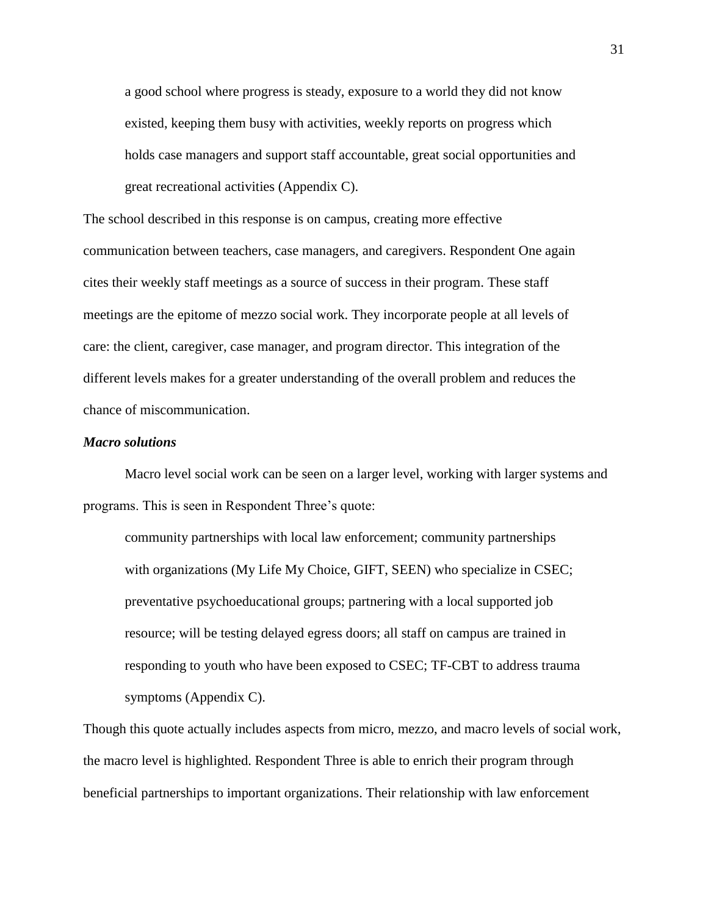a good school where progress is steady, exposure to a world they did not know existed, keeping them busy with activities, weekly reports on progress which holds case managers and support staff accountable, great social opportunities and great recreational activities (Appendix C).

The school described in this response is on campus, creating more effective communication between teachers, case managers, and caregivers. Respondent One again cites their weekly staff meetings as a source of success in their program. These staff meetings are the epitome of mezzo social work. They incorporate people at all levels of care: the client, caregiver, case manager, and program director. This integration of the different levels makes for a greater understanding of the overall problem and reduces the chance of miscommunication.

#### *Macro solutions*

Macro level social work can be seen on a larger level, working with larger systems and programs. This is seen in Respondent Three's quote:

community partnerships with local law enforcement; community partnerships with organizations (My Life My Choice, GIFT, SEEN) who specialize in CSEC; preventative psychoeducational groups; partnering with a local supported job resource; will be testing delayed egress doors; all staff on campus are trained in responding to youth who have been exposed to CSEC; TF-CBT to address trauma symptoms (Appendix C).

Though this quote actually includes aspects from micro, mezzo, and macro levels of social work, the macro level is highlighted. Respondent Three is able to enrich their program through beneficial partnerships to important organizations. Their relationship with law enforcement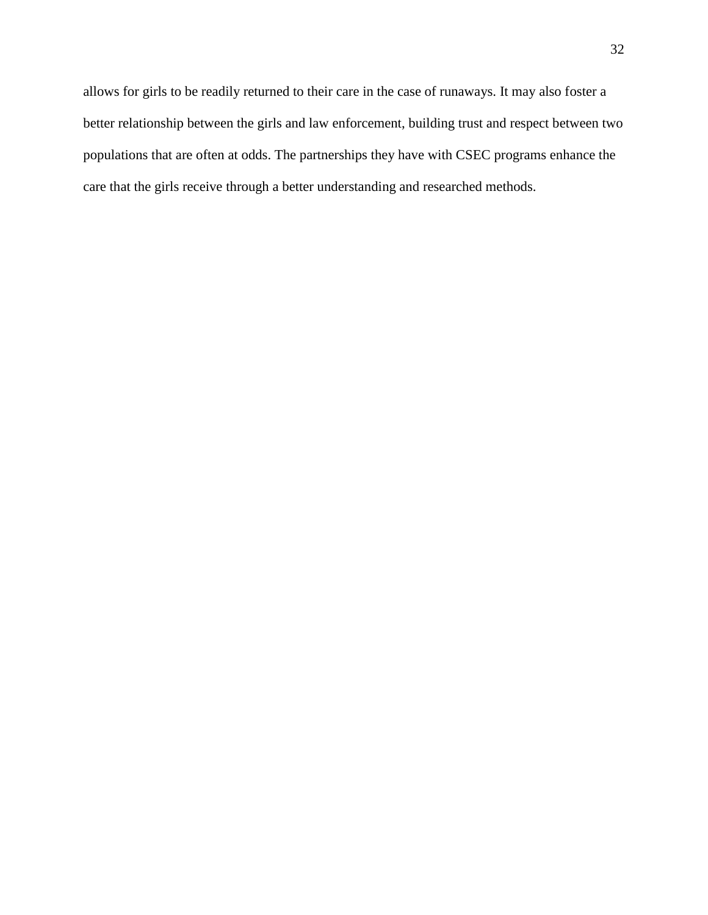allows for girls to be readily returned to their care in the case of runaways. It may also foster a better relationship between the girls and law enforcement, building trust and respect between two populations that are often at odds. The partnerships they have with CSEC programs enhance the care that the girls receive through a better understanding and researched methods.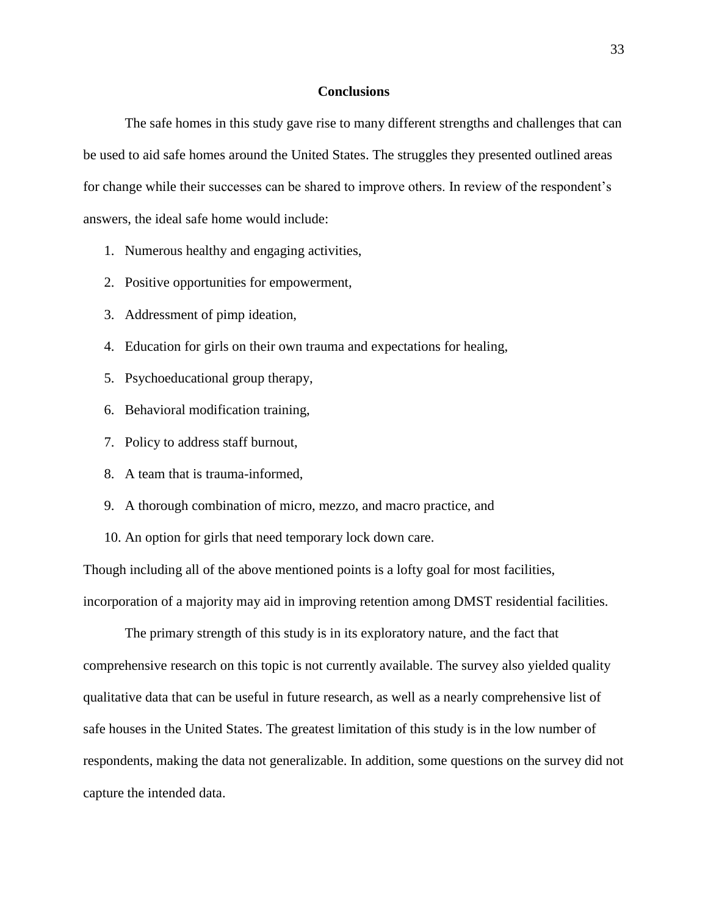#### **Conclusions**

The safe homes in this study gave rise to many different strengths and challenges that can be used to aid safe homes around the United States. The struggles they presented outlined areas for change while their successes can be shared to improve others. In review of the respondent's answers, the ideal safe home would include:

- 1. Numerous healthy and engaging activities,
- 2. Positive opportunities for empowerment,
- 3. Addressment of pimp ideation,
- 4. Education for girls on their own trauma and expectations for healing,
- 5. Psychoeducational group therapy,
- 6. Behavioral modification training,
- 7. Policy to address staff burnout,
- 8. A team that is trauma-informed,
- 9. A thorough combination of micro, mezzo, and macro practice, and
- 10. An option for girls that need temporary lock down care.

Though including all of the above mentioned points is a lofty goal for most facilities, incorporation of a majority may aid in improving retention among DMST residential facilities.

The primary strength of this study is in its exploratory nature, and the fact that comprehensive research on this topic is not currently available. The survey also yielded quality qualitative data that can be useful in future research, as well as a nearly comprehensive list of safe houses in the United States. The greatest limitation of this study is in the low number of respondents, making the data not generalizable. In addition, some questions on the survey did not capture the intended data.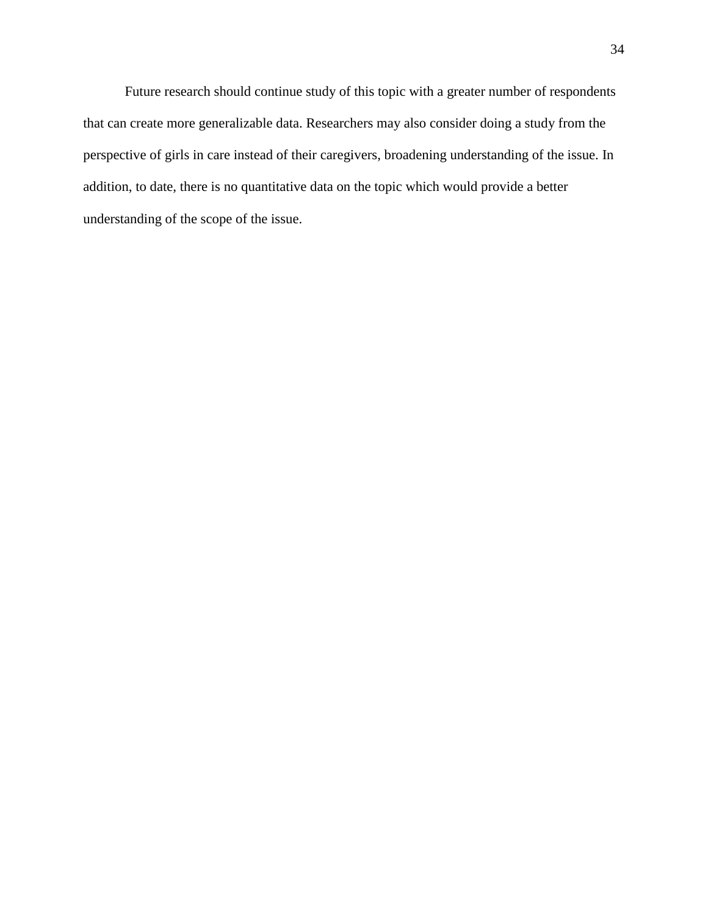Future research should continue study of this topic with a greater number of respondents that can create more generalizable data. Researchers may also consider doing a study from the perspective of girls in care instead of their caregivers, broadening understanding of the issue. In addition, to date, there is no quantitative data on the topic which would provide a better understanding of the scope of the issue.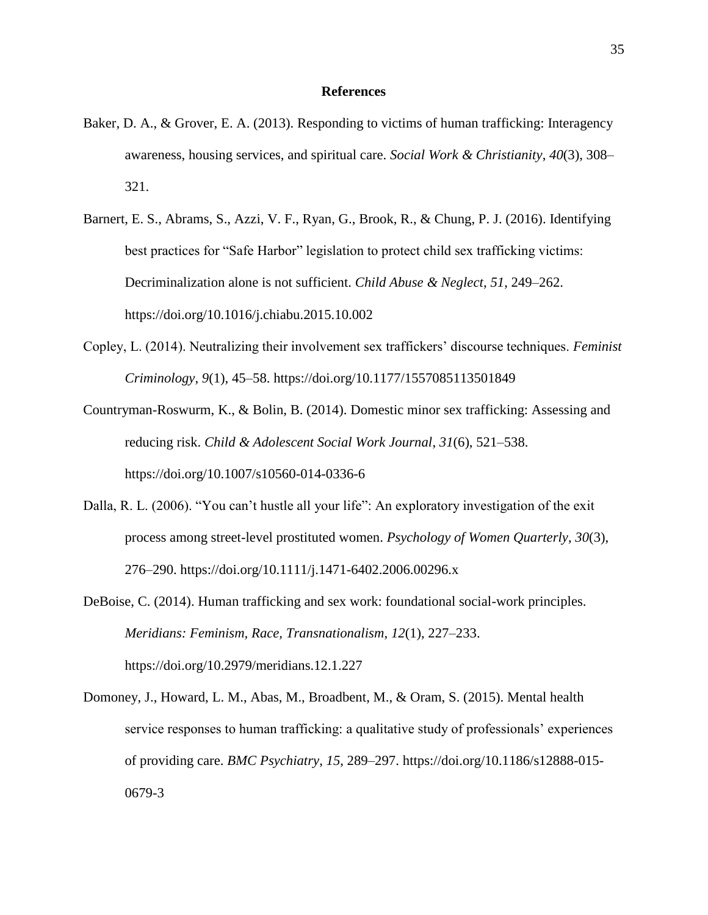#### **References**

- Baker, D. A., & Grover, E. A. (2013). Responding to victims of human trafficking: Interagency awareness, housing services, and spiritual care. *Social Work & Christianity*, *40*(3), 308– 321.
- Barnert, E. S., Abrams, S., Azzi, V. F., Ryan, G., Brook, R., & Chung, P. J. (2016). Identifying best practices for "Safe Harbor" legislation to protect child sex trafficking victims: Decriminalization alone is not sufficient. *Child Abuse & Neglect*, *51*, 249–262. https://doi.org/10.1016/j.chiabu.2015.10.002
- Copley, L. (2014). Neutralizing their involvement sex traffickers' discourse techniques. *Feminist Criminology*, *9*(1), 45–58. https://doi.org/10.1177/1557085113501849
- Countryman-Roswurm, K., & Bolin, B. (2014). Domestic minor sex trafficking: Assessing and reducing risk. *Child & Adolescent Social Work Journal*, *31*(6), 521–538. https://doi.org/10.1007/s10560-014-0336-6
- Dalla, R. L. (2006). "You can't hustle all your life": An exploratory investigation of the exit process among street-level prostituted women. *Psychology of Women Quarterly*, *30*(3), 276–290. https://doi.org/10.1111/j.1471-6402.2006.00296.x
- DeBoise, C. (2014). Human trafficking and sex work: foundational social-work principles. *Meridians: Feminism, Race, Transnationalism*, *12*(1), 227–233. https://doi.org/10.2979/meridians.12.1.227
- Domoney, J., Howard, L. M., Abas, M., Broadbent, M., & Oram, S. (2015). Mental health service responses to human trafficking: a qualitative study of professionals' experiences of providing care. *BMC Psychiatry*, *15*, 289–297. https://doi.org/10.1186/s12888-015- 0679-3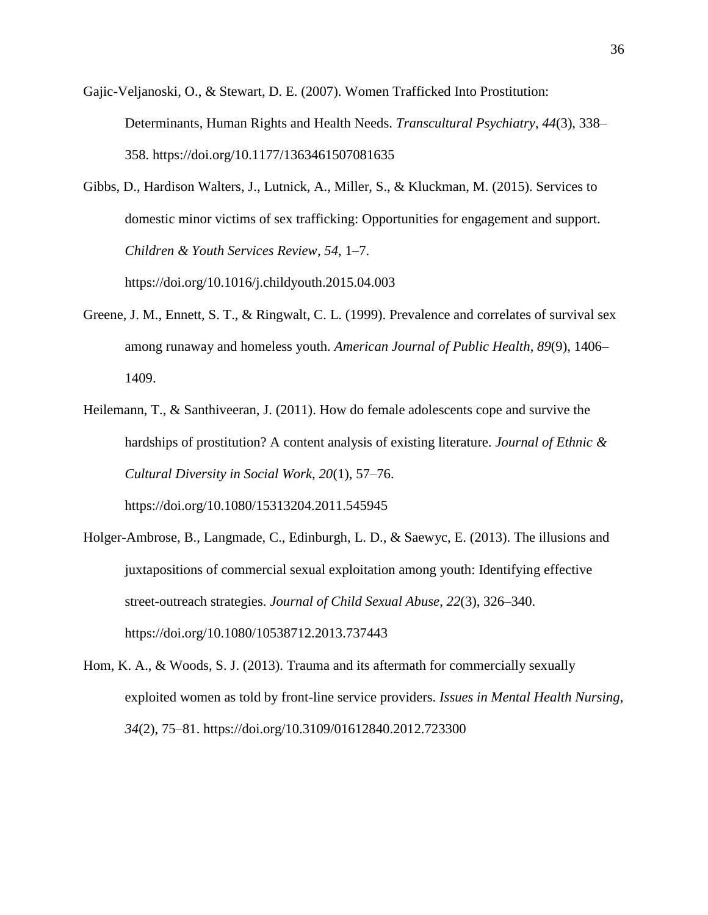Gajic-Veljanoski, O., & Stewart, D. E. (2007). Women Trafficked Into Prostitution: Determinants, Human Rights and Health Needs. *Transcultural Psychiatry*, *44*(3), 338– 358. https://doi.org/10.1177/1363461507081635

Gibbs, D., Hardison Walters, J., Lutnick, A., Miller, S., & Kluckman, M. (2015). Services to domestic minor victims of sex trafficking: Opportunities for engagement and support. *Children & Youth Services Review*, *54*, 1–7. https://doi.org/10.1016/j.childyouth.2015.04.003

- Greene, J. M., Ennett, S. T., & Ringwalt, C. L. (1999). Prevalence and correlates of survival sex among runaway and homeless youth. *American Journal of Public Health*, *89*(9), 1406– 1409.
- Heilemann, T., & Santhiveeran, J. (2011). How do female adolescents cope and survive the hardships of prostitution? A content analysis of existing literature. *Journal of Ethnic & Cultural Diversity in Social Work*, *20*(1), 57–76.

https://doi.org/10.1080/15313204.2011.545945

- Holger-Ambrose, B., Langmade, C., Edinburgh, L. D., & Saewyc, E. (2013). The illusions and juxtapositions of commercial sexual exploitation among youth: Identifying effective street-outreach strategies. *Journal of Child Sexual Abuse*, *22*(3), 326–340. https://doi.org/10.1080/10538712.2013.737443
- Hom, K. A., & Woods, S. J. (2013). Trauma and its aftermath for commercially sexually exploited women as told by front-line service providers. *Issues in Mental Health Nursing*, *34*(2), 75–81. https://doi.org/10.3109/01612840.2012.723300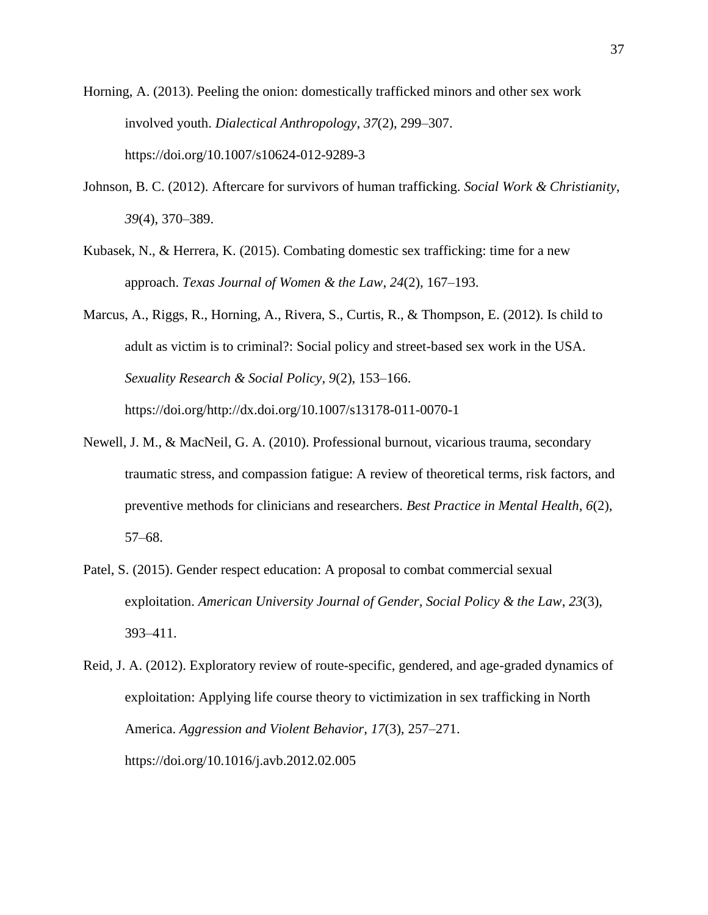Horning, A. (2013). Peeling the onion: domestically trafficked minors and other sex work involved youth. *Dialectical Anthropology*, *37*(2), 299–307. https://doi.org/10.1007/s10624-012-9289-3

- Johnson, B. C. (2012). Aftercare for survivors of human trafficking. *Social Work & Christianity*, *39*(4), 370–389.
- Kubasek, N., & Herrera, K. (2015). Combating domestic sex trafficking: time for a new approach. *Texas Journal of Women & the Law*, *24*(2), 167–193.
- Marcus, A., Riggs, R., Horning, A., Rivera, S., Curtis, R., & Thompson, E. (2012). Is child to adult as victim is to criminal?: Social policy and street-based sex work in the USA. *Sexuality Research & Social Policy*, *9*(2), 153–166. https://doi.org/http://dx.doi.org/10.1007/s13178-011-0070-1
- Newell, J. M., & MacNeil, G. A. (2010). Professional burnout, vicarious trauma, secondary traumatic stress, and compassion fatigue: A review of theoretical terms, risk factors, and preventive methods for clinicians and researchers. *Best Practice in Mental Health*, *6*(2), 57–68.
- Patel, S. (2015). Gender respect education: A proposal to combat commercial sexual exploitation. *American University Journal of Gender, Social Policy & the Law*, *23*(3), 393–411.

Reid, J. A. (2012). Exploratory review of route-specific, gendered, and age-graded dynamics of exploitation: Applying life course theory to victimization in sex trafficking in North America. *Aggression and Violent Behavior*, *17*(3), 257–271. https://doi.org/10.1016/j.avb.2012.02.005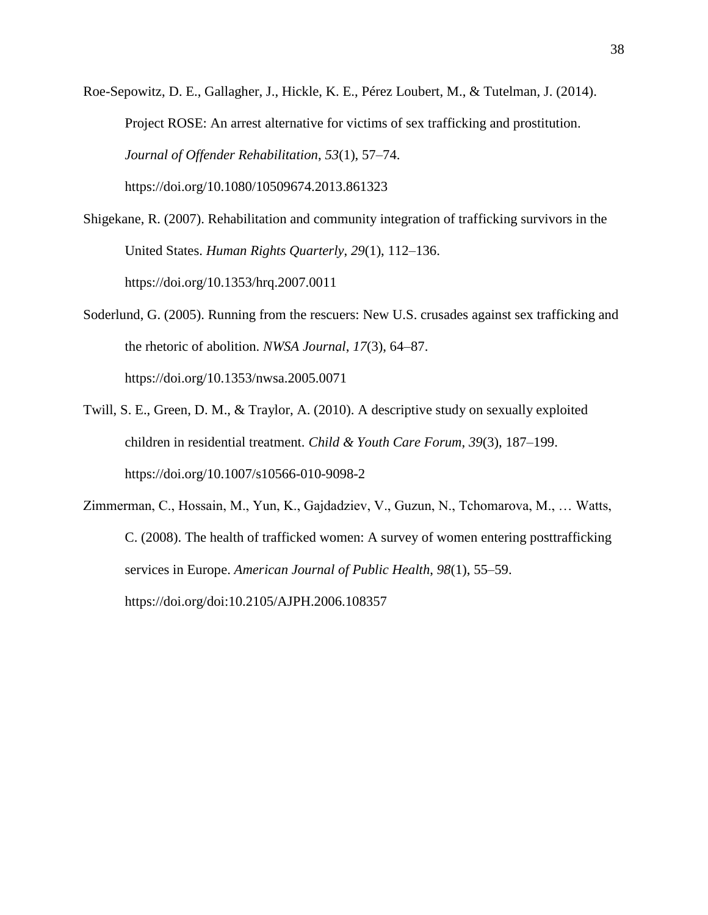Roe-Sepowitz, D. E., Gallagher, J., Hickle, K. E., Pérez Loubert, M., & Tutelman, J. (2014). Project ROSE: An arrest alternative for victims of sex trafficking and prostitution. *Journal of Offender Rehabilitation*, *53*(1), 57–74. https://doi.org/10.1080/10509674.2013.861323

- Shigekane, R. (2007). Rehabilitation and community integration of trafficking survivors in the United States. *Human Rights Quarterly*, *29*(1), 112–136. https://doi.org/10.1353/hrq.2007.0011
- Soderlund, G. (2005). Running from the rescuers: New U.S. crusades against sex trafficking and the rhetoric of abolition. *NWSA Journal*, *17*(3), 64–87. https://doi.org/10.1353/nwsa.2005.0071
- Twill, S. E., Green, D. M., & Traylor, A. (2010). A descriptive study on sexually exploited children in residential treatment. *Child & Youth Care Forum*, *39*(3), 187–199. https://doi.org/10.1007/s10566-010-9098-2
- Zimmerman, C., Hossain, M., Yun, K., Gajdadziev, V., Guzun, N., Tchomarova, M., … Watts, C. (2008). The health of trafficked women: A survey of women entering posttrafficking services in Europe. *American Journal of Public Health*, *98*(1), 55–59. https://doi.org/doi:10.2105/AJPH.2006.108357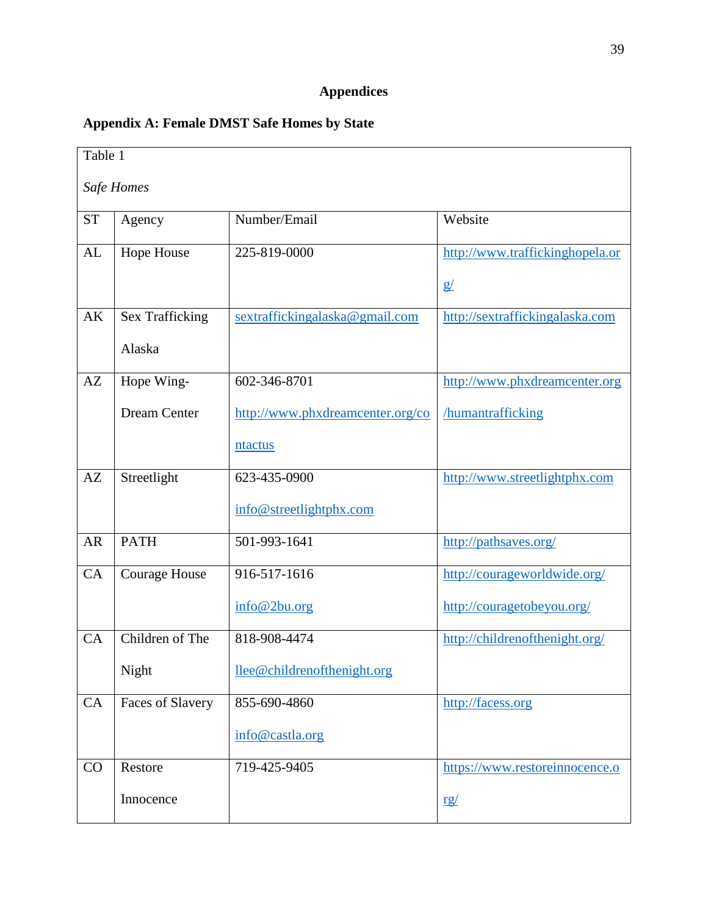## **Appendices**

## **Appendix A: Female DMST Safe Homes by State**

| Table 1    |                        |                                  |                                 |
|------------|------------------------|----------------------------------|---------------------------------|
| Safe Homes |                        |                                  |                                 |
| <b>ST</b>  | Agency                 | Number/Email                     | Website                         |
| AL         | Hope House             | 225-819-0000                     | http://www.traffickinghopela.or |
|            |                        |                                  | g/                              |
| AK         | <b>Sex Trafficking</b> | sextraffickingalaska@gmail.com   | http://sextraffickingalaska.com |
|            | Alaska                 |                                  |                                 |
| AZ         | Hope Wing-             | 602-346-8701                     | http://www.phxdreamcenter.org   |
|            | <b>Dream Center</b>    | http://www.phxdreamcenter.org/co | <b>humantrafficking</b>         |
|            |                        | ntactus                          |                                 |
| AZ         | Streetlight            | 623-435-0900                     | http://www.streetlightphx.com   |
|            |                        | info@streetlightphx.com          |                                 |
| <b>AR</b>  | <b>PATH</b>            | 501-993-1641                     | http://pathsaves.org/           |
| CA         | <b>Courage House</b>   | 916-517-1616                     | http://courageworldwide.org/    |
|            |                        | info@2bu.org                     | http://couragetobeyou.org/      |
| CA         | Children of The        | 818-908-4474                     | http://childrenofthenight.org/  |
|            | Night                  | llee@childrenofthenight.org      |                                 |
| CA         | Faces of Slavery       | 855-690-4860                     | http://facess.org               |
|            |                        | info@castla.org                  |                                 |
| CO         | Restore                | 719-425-9405                     | https://www.restoreinnocence.o  |
|            | Innocence              |                                  | <u>rg/</u>                      |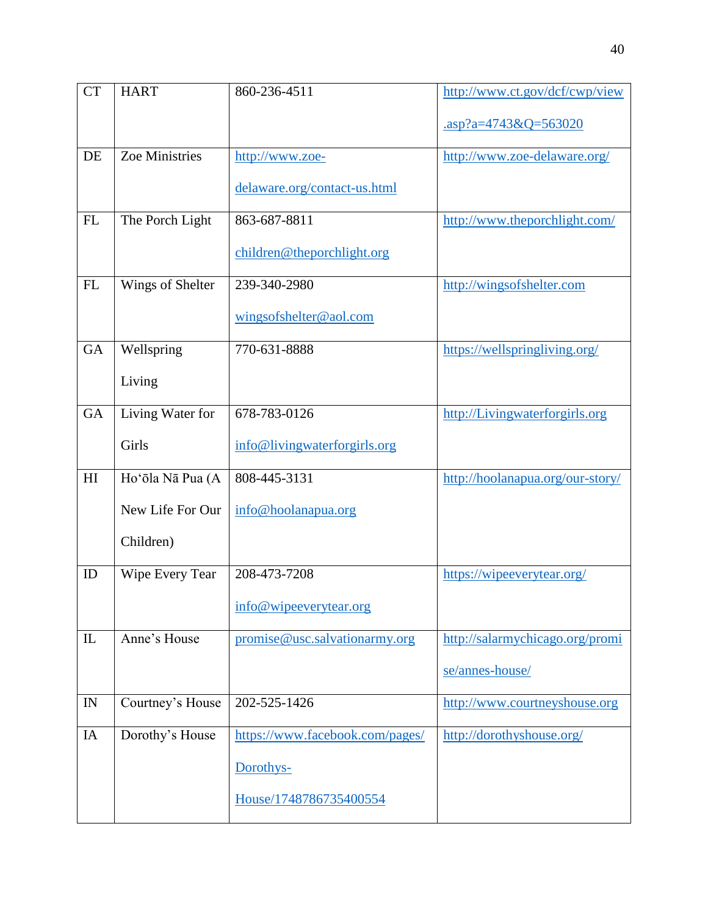| <b>CT</b>                  | <b>HART</b>      | 860-236-4511                    | http://www.ct.gov/dcf/cwp/view         |
|----------------------------|------------------|---------------------------------|----------------------------------------|
|                            |                  |                                 | $\frac{\text{asp?a=4743&Q=563020}}{2}$ |
| DE                         | Zoe Ministries   | http://www.zoe-                 | http://www.zoe-delaware.org/           |
|                            |                  | delaware.org/contact-us.html    |                                        |
| FL                         | The Porch Light  | 863-687-8811                    | http://www.theporchlight.com/          |
|                            |                  | children@theporchlight.org      |                                        |
| FL                         | Wings of Shelter | 239-340-2980                    | http://wingsofshelter.com              |
|                            |                  | wingsofshelter@aol.com          |                                        |
| <b>GA</b>                  | Wellspring       | 770-631-8888                    | https://wellspringliving.org/          |
|                            | Living           |                                 |                                        |
| GA                         | Living Water for | 678-783-0126                    | http://Livingwaterforgirls.org         |
|                            | Girls            | info@livingwaterforgirls.org    |                                        |
| $\mathop{\rm HI}\nolimits$ | Ho'ōla Nā Pua (A | 808-445-3131                    | http://hoolanapua.org/our-story/       |
|                            | New Life For Our | info@hoolanapua.org             |                                        |
|                            | Children)        |                                 |                                        |
| ID                         | Wipe Every Tear  | 208-473-7208                    | https://wipeeverytear.org/             |
|                            |                  | info@wipeeverytear.org          |                                        |
| $\mathbf{I}$               | Anne's House     | promise@usc.salvationarmy.org   | http://salarmychicago.org/promi        |
|                            |                  |                                 | se/annes-house/                        |
| IN                         | Courtney's House | 202-525-1426                    | http://www.courtneyshouse.org          |
| IA                         | Dorothy's House  | https://www.facebook.com/pages/ | http://dorothyshouse.org/              |
|                            |                  | Dorothys-                       |                                        |
|                            |                  | House/1748786735400554          |                                        |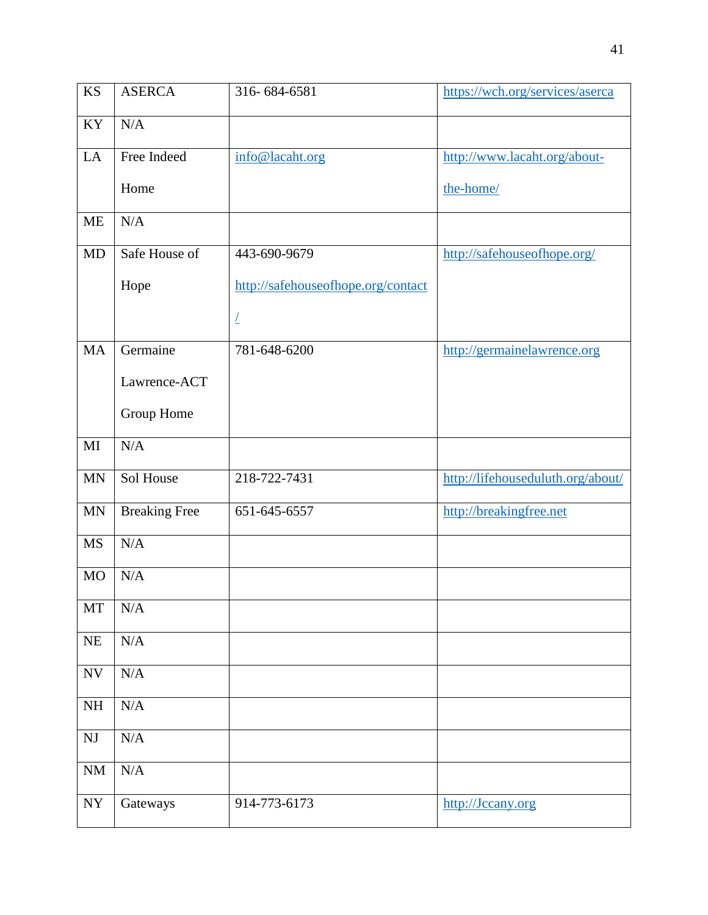| <b>KS</b>                | <b>ASERCA</b>        | 316-684-6581                       | https://wch.org/services/aserca   |
|--------------------------|----------------------|------------------------------------|-----------------------------------|
| KY                       | N/A                  |                                    |                                   |
| LA                       | Free Indeed          | info@lacaht.org                    | http://www.lacaht.org/about-      |
|                          | Home                 |                                    | the-home/                         |
| <b>ME</b>                | N/A                  |                                    |                                   |
| <b>MD</b>                | Safe House of        | 443-690-9679                       | http://safehouseofhope.org/       |
|                          | Hope                 | http://safehouseofhope.org/contact |                                   |
|                          |                      | L                                  |                                   |
| <b>MA</b>                | Germaine             | 781-648-6200                       | http://germainelawrence.org       |
|                          | Lawrence-ACT         |                                    |                                   |
|                          | Group Home           |                                    |                                   |
| MI                       | N/A                  |                                    |                                   |
| <b>MN</b>                | Sol House            | 218-722-7431                       | http://lifehouseduluth.org/about/ |
| <b>MN</b>                | <b>Breaking Free</b> | 651-645-6557                       | http://breakingfree.net           |
| <b>MS</b>                | N/A                  |                                    |                                   |
| <b>MO</b>                | N/A                  |                                    |                                   |
| MT                       | N/A                  |                                    |                                   |
| $\rm NE$                 | $\rm N/A$            |                                    |                                   |
| $\ensuremath{\text{NV}}$ | N/A                  |                                    |                                   |
| NH                       | N/A                  |                                    |                                   |
| $\mathbf{N}\mathbf{J}$   | N/A                  |                                    |                                   |
| $\rm NM$                 | N/A                  |                                    |                                   |
| ${\bf NY}$               | Gateways             | 914-773-6173                       | http://Jccany.org                 |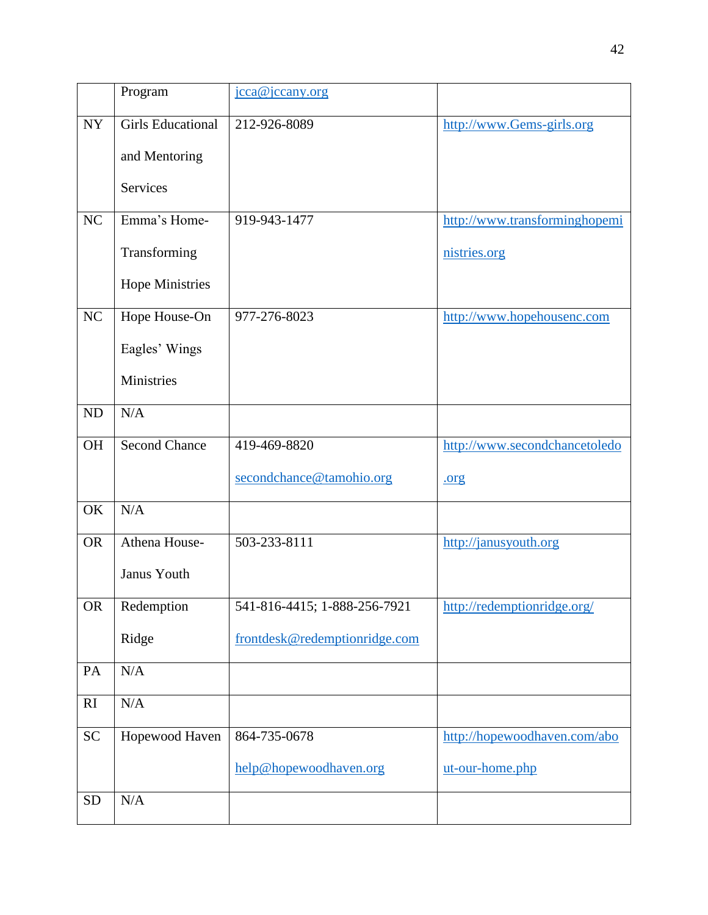|           | Program                  | jcca@jccany.org               |                               |
|-----------|--------------------------|-------------------------------|-------------------------------|
| <b>NY</b> | <b>Girls Educational</b> | 212-926-8089                  | http://www.Gems-girls.org     |
|           | and Mentoring            |                               |                               |
|           | <b>Services</b>          |                               |                               |
| NC        | Emma's Home-             | 919-943-1477                  | http://www.transforminghopemi |
|           | Transforming             |                               | nistries.org                  |
|           | <b>Hope Ministries</b>   |                               |                               |
| NC        | Hope House-On            | 977-276-8023                  | http://www.hopehousenc.com    |
|           | Eagles' Wings            |                               |                               |
|           | Ministries               |                               |                               |
| <b>ND</b> | N/A                      |                               |                               |
| <b>OH</b> | <b>Second Chance</b>     | 419-469-8820                  | http://www.secondchancetoledo |
|           |                          | secondchance@tamohio.org      | .org                          |
| OK        | N/A                      |                               |                               |
| <b>OR</b> | Athena House-            | 503-233-8111                  | http://janusyouth.org         |
|           | Janus Youth              |                               |                               |
| <b>OR</b> | Redemption               | 541-816-4415; 1-888-256-7921  | http://redemptionridge.org/   |
|           | Ridge                    | frontdesk@redemptionridge.com |                               |
| PA        | N/A                      |                               |                               |
| RI        | N/A                      |                               |                               |
| <b>SC</b> | Hopewood Haven           | 864-735-0678                  | http://hopewoodhaven.com/abo  |
|           |                          | help@hopewoodhaven.org        | ut-our-home.php               |
| <b>SD</b> | $\rm N/A$                |                               |                               |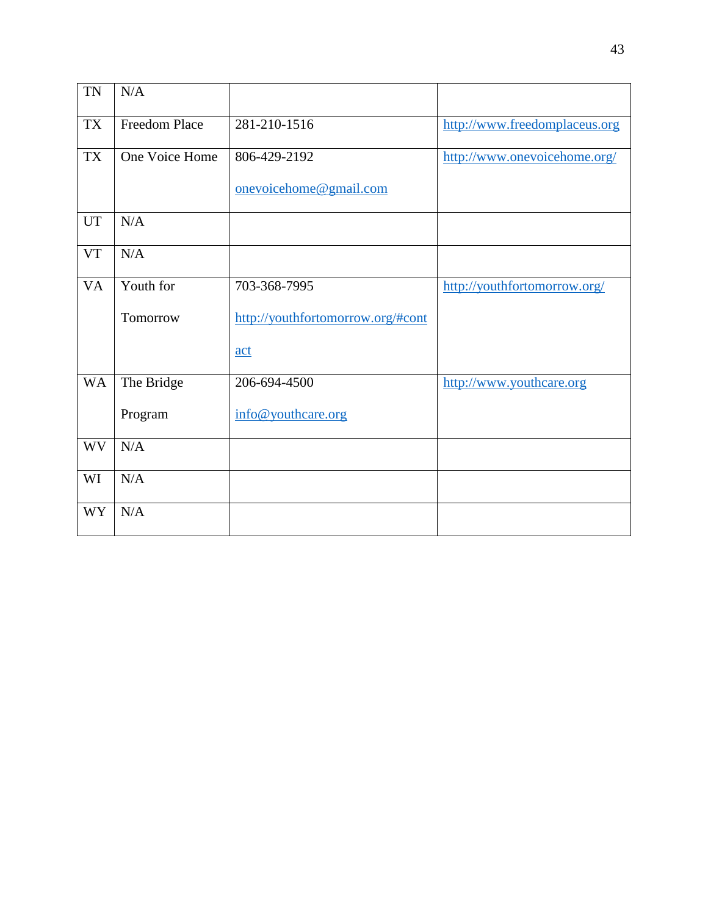| <b>TN</b> | N/A            |                                   |                               |
|-----------|----------------|-----------------------------------|-------------------------------|
| <b>TX</b> | Freedom Place  | 281-210-1516                      | http://www.freedomplaceus.org |
| <b>TX</b> | One Voice Home | 806-429-2192                      | http://www.onevoicehome.org/  |
|           |                | onevoicehome@gmail.com            |                               |
| <b>UT</b> | N/A            |                                   |                               |
| <b>VT</b> | N/A            |                                   |                               |
| <b>VA</b> | Youth for      | 703-368-7995                      | http://youthfortomorrow.org/  |
|           | Tomorrow       | http://youthfortomorrow.org/#cont |                               |
|           |                | act                               |                               |
| <b>WA</b> | The Bridge     | 206-694-4500                      | http://www.youthcare.org      |
|           | Program        | info@youthcare.org                |                               |
| <b>WV</b> | N/A            |                                   |                               |
| WI        | N/A            |                                   |                               |
| <b>WY</b> | N/A            |                                   |                               |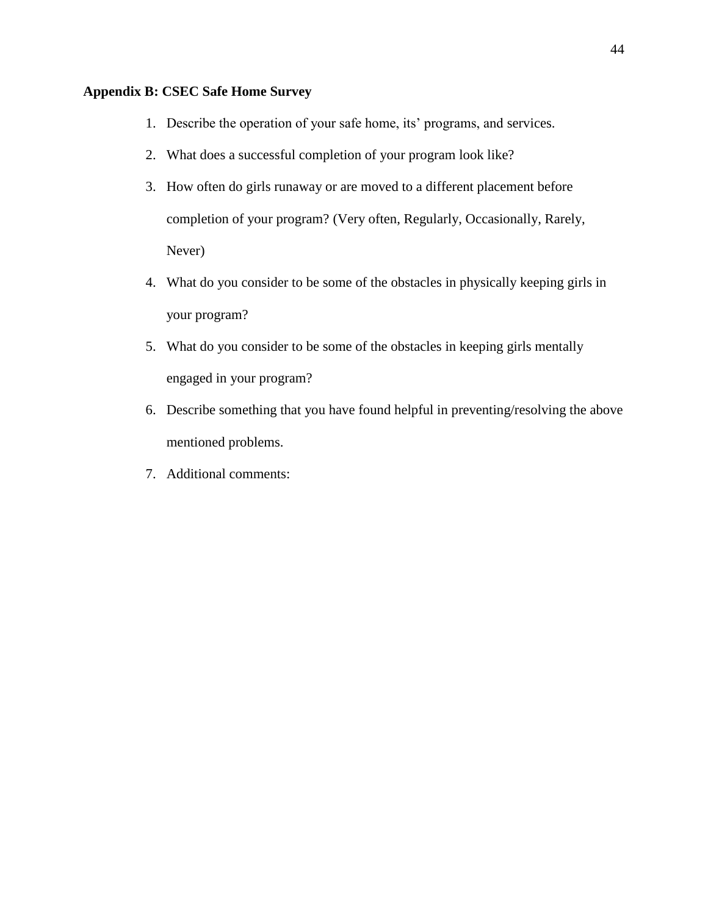### **Appendix B: CSEC Safe Home Survey**

- 1. Describe the operation of your safe home, its' programs, and services.
- 2. What does a successful completion of your program look like?
- 3. How often do girls runaway or are moved to a different placement before completion of your program? (Very often, Regularly, Occasionally, Rarely, Never)
- 4. What do you consider to be some of the obstacles in physically keeping girls in your program?
- 5. What do you consider to be some of the obstacles in keeping girls mentally engaged in your program?
- 6. Describe something that you have found helpful in preventing/resolving the above mentioned problems.
- 7. Additional comments: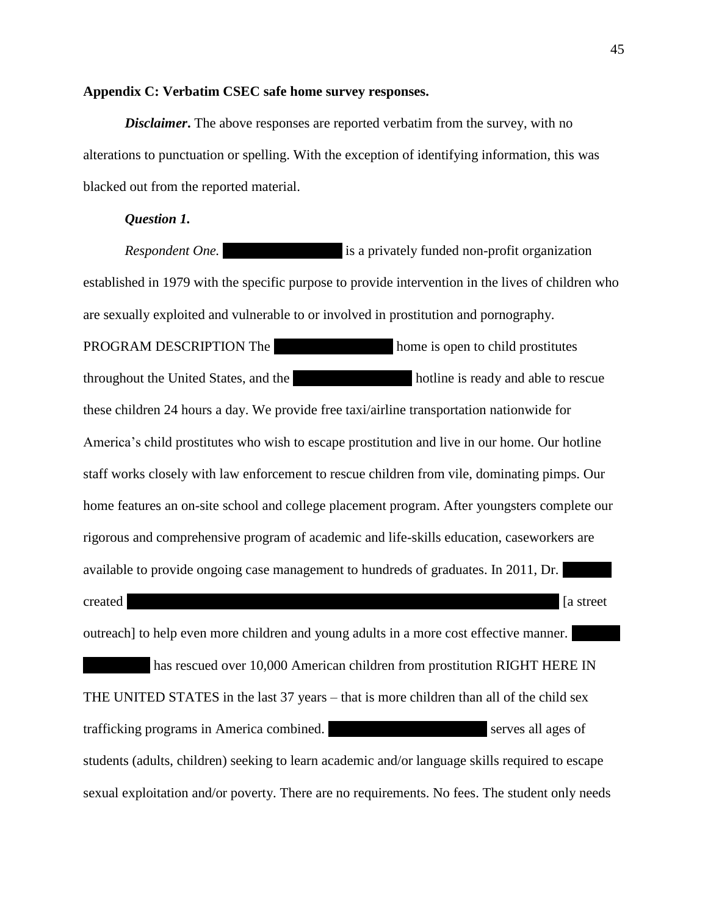#### **Appendix C: Verbatim CSEC safe home survey responses.**

*Disclaimer*. The above responses are reported verbatim from the survey, with no alterations to punctuation or spelling. With the exception of identifying information, this was blacked out from the reported material.

#### *Question 1.*

*Respondent One.* **Children of the Night is a privately funded non-profit organization** established in 1979 with the specific purpose to provide intervention in the lives of children who are sexually exploited and vulnerable to or involved in prostitution and pornography. PROGRAM DESCRIPTION The normal home is open to child prostitutes throughout the United States, and the Children of the Night hotline is ready and able to rescue these children 24 hours a day. We provide free taxi/airline transportation nationwide for America's child prostitutes who wish to escape prostitution and live in our home. Our hotline staff works closely with law enforcement to rescue children from vile, dominating pimps. Our home features an on-site school and college placement program. After youngsters complete our rigorous and comprehensive program of academic and life-skills education, caseworkers are available to provide ongoing case management to hundreds of graduates. In 2011, Dr. created [a street outreach] to help even more children and young adults in a more cost effective manner. has rescued over 10,000 American children from prostitution RIGHT HERE IN THE UNITED STATES in the last 37 years – that is more children than all of the child sex trafficking programs in America combined. Children of the Night Serves all ages of students (adults, children) seeking to learn academic and/or language skills required to escape sexual exploitation and/or poverty. There are no requirements. No fees. The student only needs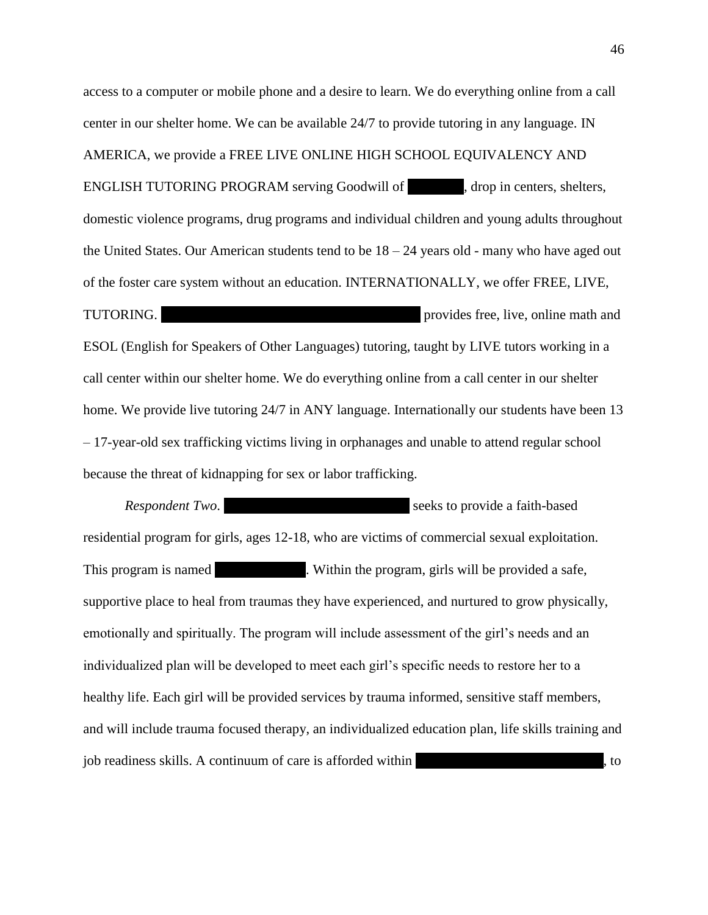access to a computer or mobile phone and a desire to learn. We do everything online from a call center in our shelter home. We can be available 24/7 to provide tutoring in any language. IN AMERICA, we provide a FREE LIVE ONLINE HIGH SCHOOL EQUIVALENCY AND ENGLISH TUTORING PROGRAM serving Goodwill of  $\qquad \qquad$ , drop in centers, shelters, domestic violence programs, drug programs and individual children and young adults throughout the United States. Our American students tend to be  $18 - 24$  years old - many who have aged out of the foster care system without an education. INTERNATIONALLY, we offer FREE, LIVE, TUTORING. Children of the Night With Out Walls (WOW) provides free, live, online math and ESOL (English for Speakers of Other Languages) tutoring, taught by LIVE tutors working in a call center within our shelter home. We do everything online from a call center in our shelter home. We provide live tutoring 24/7 in ANY language. Internationally our students have been 13 – 17-year-old sex trafficking victims living in orphanages and unable to attend regular school because the threat of kidnapping for sex or labor trafficking.

*Respondent Two.* Florida Baptist Children's Seeks to provide a faith-based residential program for girls, ages 12-18, who are victims of commercial sexual exploitation. This program is named Number 2. Within the program, girls will be provided a safe, supportive place to heal from traumas they have experienced, and nurtured to grow physically, emotionally and spiritually. The program will include assessment of the girl's needs and an individualized plan will be developed to meet each girl's specific needs to restore her to a healthy life. Each girl will be provided services by trauma informed, sensitive staff members, and will include trauma focused therapy, an individualized education plan, life skills training and job readiness skills. A continuum of care is afforded within

46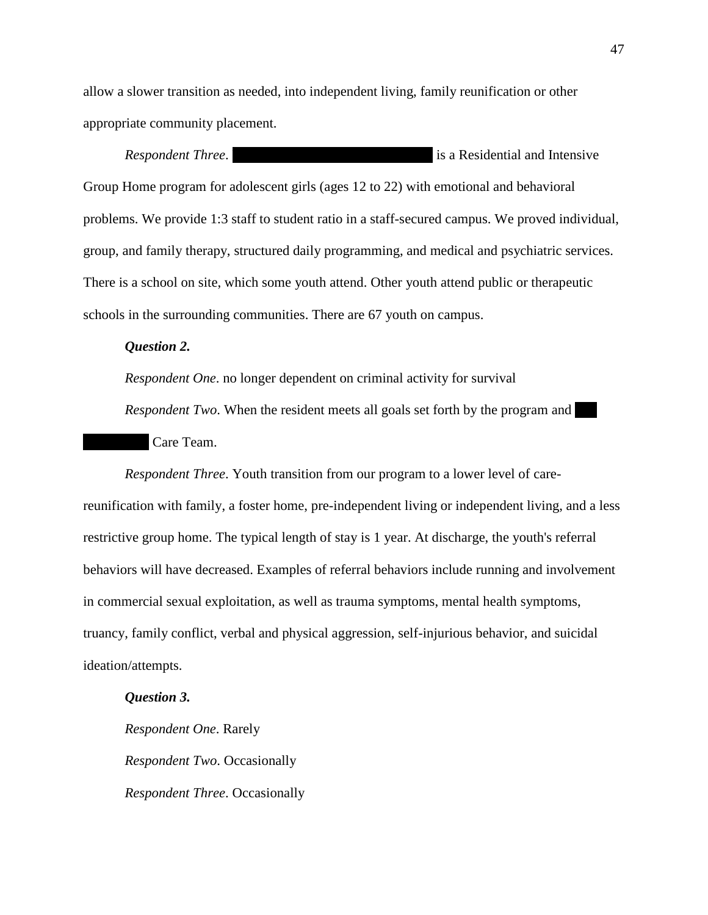allow a slower transition as needed, into independent living, family reunification or other appropriate community placement.

*Respondent Three.*  $\qquad \qquad$  is a Residential and Intensive Group Home program for adolescent girls (ages 12 to 22) with emotional and behavioral problems. We provide 1:3 staff to student ratio in a staff-secured campus. We proved individual, group, and family therapy, structured daily programming, and medical and psychiatric services. There is a school on site, which some youth attend. Other youth attend public or therapeutic schools in the surrounding communities. There are 67 youth on campus.

#### *Question 2.*

*Respondent One*. no longer dependent on criminal activity for survival

*Respondent Two*. When the resident meets all goals set forth by the program and Care Team.

*Respondent Three*. Youth transition from our program to a lower level of carereunification with family, a foster home, pre-independent living or independent living, and a less restrictive group home. The typical length of stay is 1 year. At discharge, the youth's referral behaviors will have decreased. Examples of referral behaviors include running and involvement in commercial sexual exploitation, as well as trauma symptoms, mental health symptoms, truancy, family conflict, verbal and physical aggression, self-injurious behavior, and suicidal ideation/attempts.

#### *Question 3.*

*Respondent One*. Rarely *Respondent Two*. Occasionally *Respondent Three*. Occasionally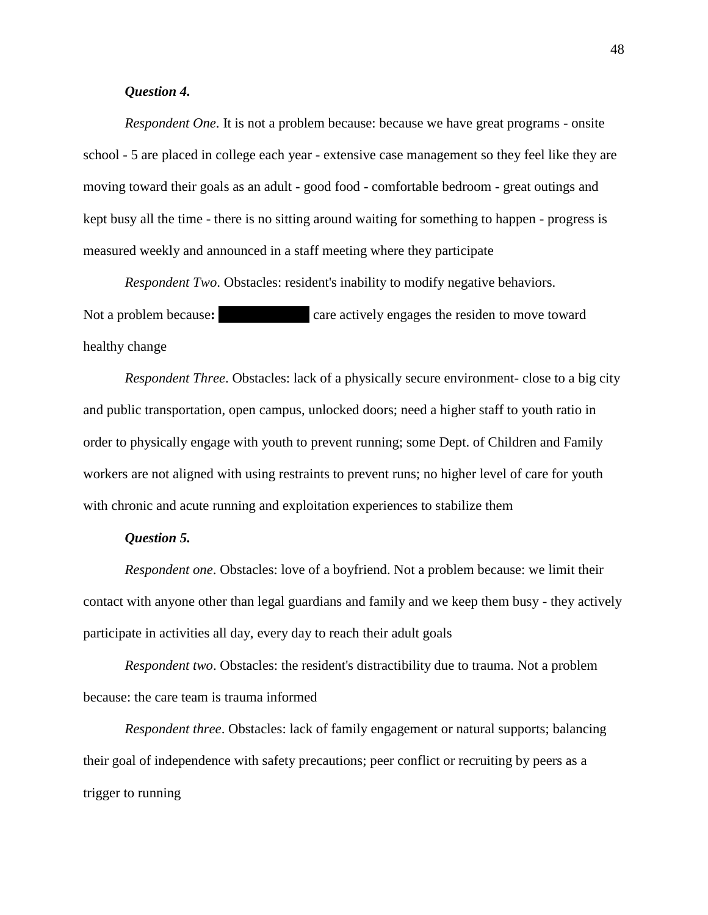#### *Question 4.*

*Respondent One*. It is not a problem because: because we have great programs - onsite school - 5 are placed in college each year - extensive case management so they feel like they are moving toward their goals as an adult - good food - comfortable bedroom - great outings and kept busy all the time - there is no sitting around waiting for something to happen - progress is measured weekly and announced in a staff meeting where they participate

*Respondent Two*. Obstacles: resident's inability to modify negative behaviors. Not a problem because: **The Porch Light care actively engages the residen to move toward** healthy change

*Respondent Three*. Obstacles: lack of a physically secure environment- close to a big city and public transportation, open campus, unlocked doors; need a higher staff to youth ratio in order to physically engage with youth to prevent running; some Dept. of Children and Family workers are not aligned with using restraints to prevent runs; no higher level of care for youth with chronic and acute running and exploitation experiences to stabilize them

#### *Question 5.*

*Respondent one*. Obstacles: love of a boyfriend. Not a problem because: we limit their contact with anyone other than legal guardians and family and we keep them busy - they actively participate in activities all day, every day to reach their adult goals

*Respondent two*. Obstacles: the resident's distractibility due to trauma. Not a problem because: the care team is trauma informed

*Respondent three*. Obstacles: lack of family engagement or natural supports; balancing their goal of independence with safety precautions; peer conflict or recruiting by peers as a trigger to running